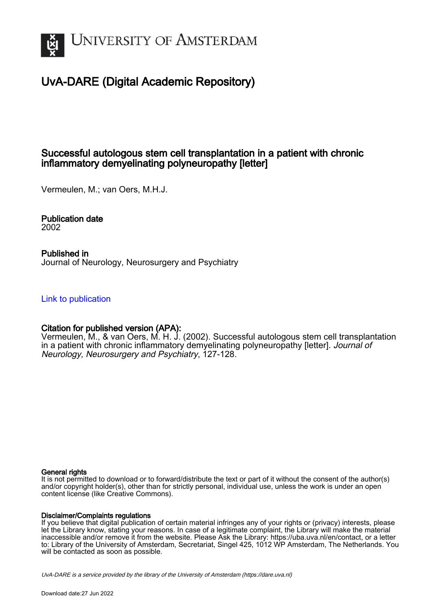

# UvA-DARE (Digital Academic Repository)

# Successful autologous stem cell transplantation in a patient with chronic inflammatory demyelinating polyneuropathy [letter]

Vermeulen, M.; van Oers, M.H.J.

Publication date 2002

Published in Journal of Neurology, Neurosurgery and Psychiatry

[Link to publication](https://dare.uva.nl/personal/pure/en/publications/successful-autologous-stem-cell-transplantation-in-a-patient-with-chronic-inflammatory-demyelinating-polyneuropathy-letter(c2b152d1-b0f0-4bde-a3f5-b3f374543555).html)

# Citation for published version (APA):

Vermeulen, M., & van Oers, M. H. J. (2002). Successful autologous stem cell transplantation in a patient with chronic inflammatory demyelinating polyneuropathy [letter]. Journal of Neurology, Neurosurgery and Psychiatry, 127-128.

# General rights

It is not permitted to download or to forward/distribute the text or part of it without the consent of the author(s) and/or copyright holder(s), other than for strictly personal, individual use, unless the work is under an open content license (like Creative Commons).

# Disclaimer/Complaints regulations

If you believe that digital publication of certain material infringes any of your rights or (privacy) interests, please let the Library know, stating your reasons. In case of a legitimate complaint, the Library will make the material inaccessible and/or remove it from the website. Please Ask the Library: https://uba.uva.nl/en/contact, or a letter to: Library of the University of Amsterdam, Secretariat, Singel 425, 1012 WP Amsterdam, The Netherlands. You will be contacted as soon as possible.

UvA-DARE is a service provided by the library of the University of Amsterdam (http*s*://dare.uva.nl)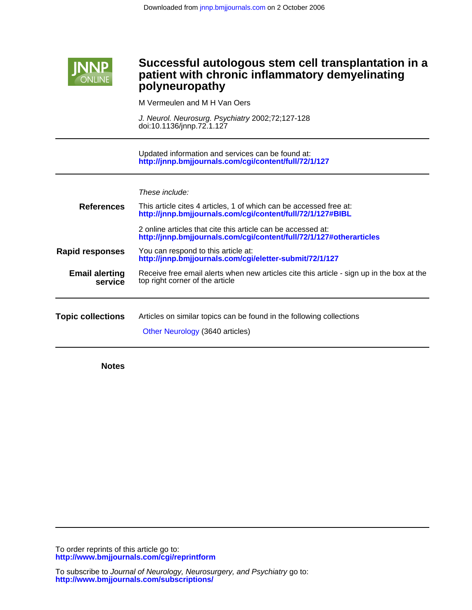

# Ī **polyneuropathy patient with chronic inflammatory demyelinating Successful autologous stem cell transplantation in a**

M Vermeulen and M H Van Oers

doi:10.1136/jnnp.72.1.127 J. Neurol. Neurosurg. Psychiatry 2002;72;127-128

**<http://jnnp.bmjjournals.com/cgi/content/full/72/1/127>** Updated information and services can be found at:

| These include: |
|----------------|
|                |

| <b>References</b>                | This article cites 4 articles, 1 of which can be accessed free at:<br>http://jnnp.bmjjournals.com/cgi/content/full/72/1/127#BIBL    |
|----------------------------------|-------------------------------------------------------------------------------------------------------------------------------------|
|                                  | 2 online articles that cite this article can be accessed at:<br>http://jnnp.bmjjournals.com/cgi/content/full/72/1/127#otherarticles |
| <b>Rapid responses</b>           | You can respond to this article at:<br>http://jnnp.bmjjournals.com/cgi/eletter-submit/72/1/127                                      |
| <b>Email alerting</b><br>service | Receive free email alerts when new articles cite this article - sign up in the box at the<br>top right corner of the article        |
| <b>Topic collections</b>         | Articles on similar topics can be found in the following collections                                                                |
|                                  | Other Neurology (3640 articles)                                                                                                     |

**Notes**

**<http://www.bmjjournals.com/cgi/reprintform>** To order reprints of this article go to:

**<http://www.bmjjournals.com/subscriptions/>** To subscribe to Journal of Neurology, Neurosurgery, and Psychiatry go to: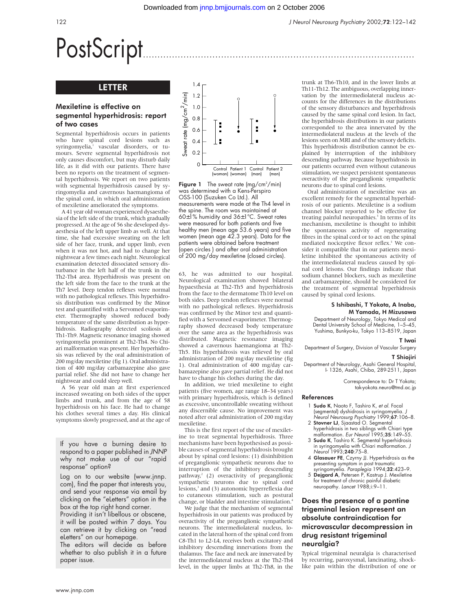# PostScript..............................................................................................

# LETTER

# Mexiletine is effective on segmental hyperhidrosis: report of two cases

Segmental hyperhidrosis occurs in patients who have spinal cord lesions such as syringomyelia,<sup>1</sup> vascular disorders, or tumours. Severe segmental hyperhidrosis not only causes discomfort, but may disturb daily life, as it did with our patients. There have been no reports on the treatment of segmental hyperhidrosis. We report on two patients with segmental hyperhidrosis caused by syringomyelia and cavernous haemangioma of the spinal cord, in which oral administration of mexiletine ameliorated the symptoms.

A 41 year old woman experienced dysaesthesia of the left side of the trunk, which gradually progressed. At the age of 56 she developed dysaesthesia of the left upper limb as well. At that time, she had excessive sweating on the left side of her face, trunk, and upper limb, even when it was not hot, and had to change her nightwear a few times each night. Neurological examination detected dissociated sensory disturbance in the left half of the trunk in the Th2-Th4 area. Hyperhidrosis was present on the left side from the face to the trunk at the Th7 level. Deep tendon reflexes were normal with no pathological reflexes. This hyperhidrosis distribution was confirmed by the Minor test and quantified with a Servomed evaporimeter. Thermography showed reduced body temperature of the same distribution as hyperhidrosis. Radiography detected scoliosis at Th1-Th9. Magnetic resonance imaging showed syringomyelia prominent at Th2-Th4. No Chiari malformation was present. Her hyperhidrosis was relieved by the oral administration of 200 mg/day mexiletine (fig 1). Oral administration of 400 mg/day carbamazepine also gave partial relief. She did not have to change her nightwear and could sleep well.

A 56 year old man at first experienced increased sweating on both sides of the upper limbs and trunk, and from the age of 58 hyperhidrosis on his face. He had to change his clothes several times a day. His clinical symptoms slowly progressed, and at the age of

If you have a burning desire to respond to a paper published in JNNP why not make use of our "rapid response" option?

Log on to our website (www.jnnp. com), find the paper that interests you, and send your response via email by clicking on the "eLetters" option in the box at the top right hand corner.

Providing it isn't libellous or obscene, it will be posted within 7 days. You can retrieve it by clicking on "read eLetters" on our homepage.

The editors will decide as before whether to also publish it in a future paper issue.



**Figure 1** The sweat rate  $(mg/cm^2/min)$ was determined with a Kens-Perspiro OSS-100 (Suzuken Co Ltd.). All measurements were made at the Th4 level in the spine. The room was maintained at 60±1% humidity and 36±1°C. Sweat rates were measured for both patients and five healthy men (mean age 53.6 years) and five women (mean age 42.3 years). Data for the patients were obtained before treatment (open circles ) and after oral administration of 200 mg/day mexiletine (closed circles).

63, he was admitted to our hospital. Neurological examination showed bilateral hypaesthesia at Th2-Th5 and hyperhidrosis from the face to the dermatome Th10 level on both sides. Deep tendon reflexes were normal with no pathological reflexes. Hyperhidrosis was confirmed by the Minor test and quantified with a Servomed evaporimeter. Thermography showed decreased body temperature over the same area as the hyperhidrosis was distributed. Magnetic resonance imaging showed a cavernous haemangioma at Th2- Th5. His hyperhidrosis was relieved by oral administration of 200 mg/day mexiletine (fig 1). Oral administration of 400 mg/day carbamazepine also gave partial relief. He did not have to change his clothes during the day.

In addition, we tried mexiletine to eight patients (five women, age range 18–34 years) with primary hyperhidrosis, which is defined as excessive, uncontrollable sweating without any discernible cause. No improvement was noted after oral administration of 200 mg/day mexiletine.

This is the first report of the use of mexiletine to treat segmental hyperhidrosis. Three mechanisms have been hypothesised as possible causes of segmental hyperhidrosis brought about by spinal cord lesions: (1) disinhibition of preganglionic sympathetic neurons due to interruption of the inhibitory descending pathway, $2$  (2) overactivity of preganglionic sympathetic neurons due to spinal cord lesions,<sup>3</sup> and (3) autonomic hyperreflexia due to cutaneous stimulation, such as postural change, or bladder and intestine stimulation.4

We judge that the mechanism of segmental hyperhidrosis in our patients was produced by overactivity of the preganglionic sympathetic neurons. The intermediolateral nucleus, located in the lateral horn of the spinal cord from C8-Th1 to L2-L4, receives both excitatory and inhibitory descending innervations from the thalamus. The face and neck are innervated by the intermediolateral nucleus at the Th2-Th4 level, in the upper limbs at Th2-Th8, in the

trunk at Th6-Th10, and in the lower limbs at Th11-Th12. The ambiguous, overlapping innervation by the intermediolateral nucleus accounts for the differences in the distributions of the sensory disturbances and hyperhidrosis caused by the same spinal cord lesion. In fact, the hyperhidrosis distributions in our patients corresponded to the area innervated by the intermediolateral nucleus at the levels of the lesions seen on MRI and of the sensory deficits. This hyperhidrosis distribution cannot be explained by interruption of the inhibitory descending pathway. Because hyperhidrosis in our patients occurred even without cutaneous stimulation, we suspect persistent spontaneous overactivity of the preganglionic sympathetic neurons due to spinal cord lesions.

Oral administration of mexiletine was an excellent remedy for the segmental hyperhidrosis of our patients. Mexiletine is a sodium channel blocker reported to be effective for treating painful neuropathies.<sup>5</sup> In terms of its mechanism, mexiletine is thought to inhibit the spontaneous activity of regenerating fibres in the spinal cord or to act on the spinal mediated nociceptive flexor reflex.<sup>5</sup> We consider it compatible that in our patients mexiletine inhibited the spontaneous activity of the intermediolateral nucleus caused by spinal cord leisons. Our findings indicate that sodium channel blockers, such as mexiletine and carbamazepine, should be considered for the treatment of segmental hyperhidrosis caused by spinal cord lesions.

# S Ishibashi, T Yokota, A Inaba, M Yamada, H Mizusawa

Department of Neurology, Tokyo Medical and Dental University School of Medicine, 1–5–45, Yushima, Bunkyo-ku, Tokyo 113–8519, Japan

# T Iwai

Department of Surgery, Division of Vascular Surgery

# T Shiojiri

Department of Neurology, Asahi General Hospital, I- 1326, Asahi, Chiba, 289-2511, Japan

> Correspondence to: Dr T Yokota; tak-yokota.neuro@tmd.ac.jp

# References

- 1 Sudo K, Naoto F, Tashiro K, et al. Focal (segmental) dyshidrosis in syringomyelia. Neurol Neurosurg Psychiatry 1999;67:106-8.
- 2 Stovner LJ, Sjaastad O. Segmental hyperhidrosis in two siblings with Chiari type malformation. Eur Neurol 1995;35:149-55
- 3 Sudo K, Tashiro K. Segmental hyperhidrosis in syringomyelia with Chiari malformation. *J*<br>Neurol 1993;**240**:75–8.
- 4 Glasauer FE, Czyrny JJ. Hyperhidrosis as the presenting symptom in post traumatic
- syringomyelia. Paraplegia 1994;32:423–9. 5 Dejgard A, Petersen P, Kastrup J. Mexiletine for treatment of chronic painful diabetic neuropathy. Lancet 1988;i:9–11.

# Does the presence of a pontine trigeminal lesion represent an absolute contraindication for microvascular decompression in drug resistant trigeminal neuralgia?

Typical trigeminal neuralgia is characterised by recurring, paroxysmal, lancinating, shocklike pain within the distribution of one or

www.jnnp.com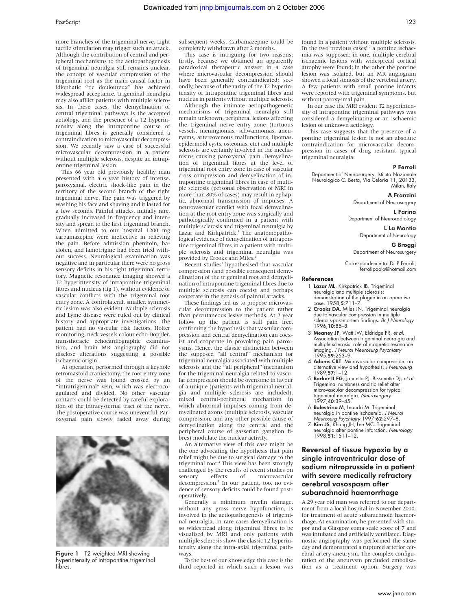more branches of the trigeminal nerve. Light tactile stimulation may trigger such an attack. Although the contribution of central and peripheral mechanisms to the aetiopathogenesis of trigeminal neuralgia still remains unclear, the concept of vascular compression of the trigeminal root as the main causal factor in idiophatic "tic douloureux" has achieved widespread acceptance. Trigeminal neuralgia may also afflict patients with multiple sclerosis. In these cases, the demyelination of central trigeminal pathways is the accepted aetiology, and the presence of a T2 hyperintensity along the intrapontine course of trigeminal fibres is generally considered a contraindication to microvascular decompression. We recently saw a case of successful microvascular decompression in a patient without multiple sclerosis, despite an intrapontine trigeminal lesion.

This 66 year old previously healthy man presented with a 6 year history of intense, paroxysmal, electric shock-like pain in the territory of the second branch of the right trigeminal nerve. The pain was triggered by washing his face and shaving and it lasted for a few seconds. Painful attacks, initially rare, gradually increased in frequency and intensity and spread to the first trigeminal branch. When admitted to our hospital 1200 mg carbamazepine were ineffective in relieving the pain. Before admission phenitoin, baclofen, and lamotrigine had been tried without success. Neurological examination was negative and in particular there were no gross sensory deficits in his right trigeminal territory. Magnetic resonance imaging showed a T2 hyperintensity of intrapontine trigeminal fibres and nucleus (fig 1), without evidence of vascular conflicts with the trigeminal root entry zone. A controlateral, smaller, symmetric lesion was also evident. Multiple sclerosis and Lyme disease were ruled out by clinical history and appropriate investigations. The patient had no vascular risk factors. Holter monitoring, neck vessels colour echo Doppler, transthoracic echocardiographic examination, and brain MR angiography did not disclose alterations suggesting a possible ischaemic origin.

At operation, performed through a keyhole retromastoid craniectomy, the root entry zone of the nerve was found crossed by an "intratrigeminal" vein, which was electrocoagulated and divided. No other vascular contacts could be detected by careful exploration of the intracysternal tract of the nerve. The postoperative course was uneventful. Paroxysmal pain slowly faded away during



Figure 1 T2 weighted MRI showing hyperintensity of intrapontine trigeminal fibres.

subsequent weeks. Carbamazepine could be completely withdrawn after 2 months.

This case is intriguing for two reasons: firstly, because we obtained an apparently paradoxical therapeutic answer in a case where microvascular decompression should have been generally contraindicated; secondly, because of the rarity of the T2 hyperintensity of intrapontine trigeminal fibres and nucleus in patients without multiple sclerosis.

Although the intimate aetiopathogenetic mechanisms of trigeminal neuralgia still remain unknown, peripheral lesions affecting the trigeminal nerve entry zone (tortuous vessels, meningiomas, schwannomas, aneurysms, artereovenous malfunctions, lipomas, epidermoid cysts, osteomas, etc) and multiple sclerosis are certainly involved in the mechanisms causing paroxysmal pain. Demyelination of trigeminal fibres at the level of trigeminal root entry zone in case of vascular cross compression and demyelination of intrapontine trigeminal fibres in case of multiple sclerosis (personal observation of MRI in more than 80% of cases) may result in ephaptic, abnormal transmission of impulses. A neurovascular conflict with focal demyelination at the root entry zone was surgically and pathologically confirmed in a patient with multiple sclerosis and trigeminal neuralgia by Lazar and Kirkpatrick.<sup>1</sup> The anatomopathological evidence of demyelination of intrapontine trigeminal fibres in a patient with multiple sclerosis and trigeminal neuralgia was provided by Crooks and Miles.<sup>2</sup>

Recent studies<sup>3</sup> hypothesised that vascular compression (and possible consequent demyelination) of the trigeminal root and demyelination of intrapontine trigeminal fibres due to multiple sclerosis can coexist and perhaps cooperate in the genesis of painful attacks.

These findings led us to propose microvascular decompression to the patient rather than percutaneous lesive methods. At 2 year follow up the patient is still pain free, confirming the hypothesis that vascular compression and central demyelination can coexist and cooperate in provoking pain paroxysms. Hence, the classic distinction between the supposed "all central" mechanism for trigeminal neuralgia associated with multiple sclerosis and the "all peripheral" mechanism for the trigeminal neuralgia related to vascular compression should be overcome in favour of a unique (patients with trigeminal neuralgia and multiple sclerosis are included), mixed central-peripheral mechanism in which abnormal impulses coming from demyelinated axons (multiple sclerosis, vascular compression, and any other possible cause of demyelination along the central and the peripheral course of gasserian ganglion fibres) modulate the nuclear activity.

An alternative view of this case might be the one advocating the hypothesis that pain relief might be due to surgical damage to the trigeminal root.4 This view has been strongly challenged by the results of recent studies on<br>sensory effects of microvascular sensory effects of microvascular decompression.<sup>5</sup> In our patient, too, no evidence of sensory deficits could be found postoperatively.

Generally a minimum myelin damage, without any gross nerve hypofunction, is involved in the aetiopathogenesis of trigeminal neuralgia. In rare cases demyelination is so widespread along trigeminal fibres to be visualised by MRI and only patients with multiple sclerosis show the classic T2 hyperintensity along the intra-axial trigeminal pathways.

To the best of our knowledge this case is the third reported in which such a lesion was

found in a patient without multiple sclerosis. In the two previous cases  $5^{\circ}$  a pontine ischaemia was supposed: in one, multiple cerebral ischaemic lesions with widespread cortical atrophy were found; in the other the pontine lesion was isolated, but an MR angiogram showed a focal stenosis of the vertebral artery. A few patients with small pontine infarcts were reported with trigeminal symptoms, but without paroxysmal pain.

In our case the MRI evident T2 hyperintensity of intrapontine trigeminal pathways was considered a demyelinating or an ischaemic lesion of unknown aetiology.

This case suggests that the presence of a pontine trigeminal lesion is not an absolute contraindication for microvascular decompression in cases of drug resistant typical trigeminal neuralgia.

## P Ferroli

Department of Neurosurgery, Istituto Nazionale Neurologico C. Besta, Via Celoria 11, 20133, Milan, Italy

> A Franzini Department of Neurosurgery

> > L Farina

Department of Neuroradiology

L La Mantia Department of Neurology

G Broggi Department of Neurosurgery

Correspondence to: Dr P Ferroli; ferrolipaolo@hotmail.com

#### References

- 1 Lazar ML, Kirkpatrick JB. Trigeminal neuralgia and multiple sclerosis: demonstration of the plague in an operative case. 1958;5:711–7.
- 2 Crooks DA, Miles JN. Trigeminal neuralgia due to vascular compression in multiple sclerosis-post-mortem findings. Br J Neurology 1996;10:85–8.
- 3 Meaney JF, Watt JW, Eldridge PR, et al. Association between trigeminal neuralgia and multiple sclerosis: role of magnetic resonance imaging. J Neurol Neurosurg Psychiatry  $1995;59:253-9.$
- 4 Adams CBT. Microvascular compression: an alternative view and hypothesis. J Neurosurg 1989;57:1–12.
- 5 **Barker II FG**, Jannetta PJ, Bissonette DJ, et al. Trigeminal numbness and tic relief after microvascular decompression for typical trigeminal neuralgia. *Neurosurgery*<br>1997;**40**:39–45.
- 6 Balestrino M, Leandri M. Trigeminal neuralgia in pontine ischaemia. J Neurol Neurosurg Psychiatry 1997;62:297–8.
- 7 Kim JS, Khang JH, Lee MC. Trigeminal neuralgia after pontine infarction. *Neurology*<br>1998;**51**:1511–12.

# Reversal of tissue hypoxia by a single intraventricular dose of sodium nitroprusside in a patient with severe medically refractory cerebral vasospasm after subarachnoid haemorrhage

A 29 year old man was referred to our department from a local hospital in November 2000, for treatment of acute subarachnoid haemorrhage. At examination, he presented with stupor and a Glasgow coma scale score of 7 and was intubated and artificially ventilated. Diagnostic angiography was performed the same day and demonstrated a ruptured arterior cerebral artery aneurysm. The complex configuration of the aneurysm precluded embolisation as a treatment option. Surgery was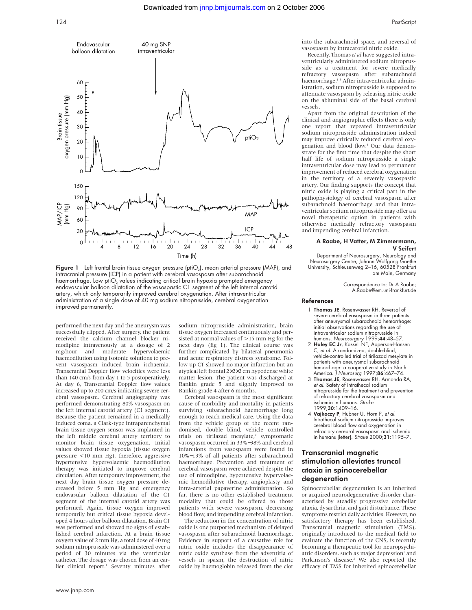

**Figure 1** Left frontal brain tissue oxygen pressure (ptiO<sub>2</sub>), mean arterial pressure (MAP), and intracranial pressure (ICP) in a patient with cerebral vasospasm after subarachnoid haemorrhage. Low ptiO<sub>2</sub> values indicating critical brain hypoxia prompted emergency endovascular balloon dilatation of the vasospastic C1 segment of the left internal carotid artery, which only temporarily improved cerebral oxygenation. After intraventricular administration of a single dose of 40 mg sodium nitroprusside, cerebral oxygenation improved permanently.

performed the next day and the aneurysm was successfully clipped. After surgery, the patient received the calcium channel blocker nimodipine intravenously at a dosage of 2 mg/hour and moderate hypervolaemic haemodilution using isotonic solutions to prevent vasospasm induced brain ischaemia. Transcranial Doppler flow velocities were less than 140 cm/s from day 1 to 5 postoperatively. At day 6, Transcranial Doppler flow values increased up to 200 cm/s indicating severe cerebral vasospasm. Cerebral angiography was performed demonstrating 80% vasospasm on the left internal carotid artery (C1 segment). Because the patient remained in a medically induced coma, a Clark-type intraparenchymal brain tissue oxygen sensor was implanted in the left middle cerebral artery territory to monitor brain tissue oxygenation. Initial values showed tissue hypoxia (tissue oxygen pressure <10 mm Hg), therefore, aggressive hypertensive hypervolaemic haemodilution therapy was initiated to improve cerebral circulation. After temporary improvement, the next day brain tissue oxygen pressure decreased below 5 mm Hg and emergency endovasular balloon dilatation of the C1 segment of the internal carotid artery was performed. Again, tissue oxygen improved temporarily but critical tissue hypoxia developed 4 hours after balloon dilatation. Brain CT was performed and showed no signs of established cerebral infarction. At a brain tissue oxygen value of 2 mm Hg, a total dose of 40 mg sodium nitroprusside was administered over a period of 30 minutes via the ventricular catheter. The dosage was chosen from an earlier clinical report.<sup>1</sup> Seventy minutes after

sodium nitroprusside administration, brain tissue oxygen increased continuously and persisted at normal values of >15 mm Hg for the next days (fig 1). The clinical course was further complicated by bilateral pneumonia and acute respiratory distress syndrome. Follow up CT showed no major infarction but an atypical left frontal 2×2×2 cm hypodense white matter lesion. The patient was discharged at Rankin grade 5 and slightly improved to Rankin grade 4 after 6 months.

Cerebral vasospasm is the most significant cause of morbidity and mortality in patients surviving subarachnoid haemorrhage long enough to reach medical care. Using the data from the vehicle group of the recent randomised, double blind, vehicle controlled trials on tirilazad mesylate,<sup>2</sup> symptomatic vasospasm occurred in 33%−38% and cerebral infarctions from vasospasm were found in 10%−13% of all patients after subarachnoid haemorrhage. Prevention and treatment of cerebral vasospasm were achieved despite the use of nimodipine, hypertensive hypervolaemic hemodilutive therapy, angioplasty and intra-arterial papaverine administration. So far, there is no other established treatment modality that could be offered to those patients with severe vasospasm, decreasing blood flow, and impending cerebral infarction.

The reduction in the concentration of nitric oxide is one purported mechanism of delayed vasospasm after subarachnoid haemorrhage. Evidence in support of a causative role for nitric oxide includes the disappearance of nitric oxide synthase from the adventitia of vessels in spasm, the destruction of nitric oxide by haemoglobin released from the clot

into the subarachnoid space, and reversal of vasospasm by intracarotid nitric oxide.

Recently, Thomas *et al* have suggested intraventricularly administered sodium nitroprusside as a treatment for severe medically refractory vasospasm after subarachnoid haemorrhage.<sup>13</sup> After intraventricular administration, sodium nitroprusside is supposed to attenuate vasospasm by releasing nitric oxide on the abluminal side of the basal cerebral vessels.

Apart from the original description of the clinical and angiographic effects there is only one report that repeated intraventricular sodium nitroprusside administration indeed may improve crirically reduced cerebral oxygenation and blood flow.4 Our data demonstrate for the first time that despite the short half life of sodium nitroprusside a single intraventricular dose may lead to permanent improvement of reduced cerebral oxygenation in the territory of a severely vasospastic artery. Our finding supports the concept that nitric oxide is playing a critical part in the pathophysiology of cerebral vasospasm after subarachnoid haemorrhage and that intraventricular sodium nitroprusside may offer a a novel therapeutic option in patients with otherwise medically refractory vasospasm and impending cerebral infarction.

### A Raabe, H Vatter, M Zimmermann, V Seifert

Department of Neurosurgery, Neurology and Neurosurgery Centre, Johann Wolfgang Goethe University, Schleusenweg 2–16, 60528 Frankfurt am Main, Germany

> Correspondence to: Dr A Raabe; A.Raabe@em.uni-frankfurt.de

# References

- 1 Thomas JE, Rosenwasser RH. Reversal of severe cerebral vasospasm in three patients after aneurysmal subarachnoid hemorrhage: initial observations regarding the use of intraventricular sodium nitroprusside in
- humans. *Neurosurgery* 1999;**44**:48–57.<br>2 **Haley EC Jr**, Kassell NF, Apperson-Hansen C, *et al*. A randomized, double-blind,<br>vehicle-controlled trial of tirilazad mesylate in patients with aneurysmal subarachnoid hemorrhage: a cooperative study in North America. J Neurosurg 1997;86:467–74.
- 3 Thomas JE, Rosenwasser RH, Armonda RA, et al. Safety of intrathecal sodium nitroprusside for the treatment and prevention of refractory cerebral vasospasm and ischemia in humans. Stroke 1999;30:1409–16.
- 4 Vajkoczy P, Hubner U, Horn P, et al. Intrathecal sodium nitroprusside improves cerebral blood flow and oxygenation in refractory cerebral vasospasm and ischemia in humans [letter]. Stroke 2000;31:1195–7.

# Transcranial magnetic stimulation alleviates truncal ataxia in spinocerebellar degeneration

Spinocerebellar degeneration is an inherited or acquired neurodegenerative disorder characterised by steadily progressive cerebellar ataxia, dysarthria, and gait disturbance. These symptoms restrict daily activities. However, no satisfactory therapy has been established. Transcranial magnetic stimulation (TMS), originally introduced to the medical field to evaluate the function of the CNS, is recently becoming a therapeutic tool for neuropsychiatric disorders, such as major depression1 and Parkinson's disease.<sup>2</sup> We also reported the efficacy of TMS for inherited spinocerebellar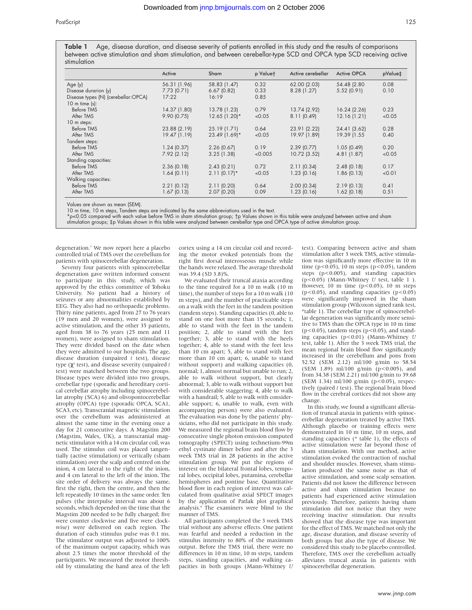PostScript 125

Table 1 Age, disease duration, and disease severity of patients enrolled in this study and the results of comparisons between active stimulation and sham stimulation, and between cerebellar-type SCD and OPCA type SCD receiving active stimulation

|                                     | Active        | Sham            | p Valuet | Active cerebellar | <b>Active OPCA</b> | pValue‡ |
|-------------------------------------|---------------|-----------------|----------|-------------------|--------------------|---------|
| Age (y)                             | 56.31 (1.96)  | 58.83 (1.47)    | 0.32     | 62.00 (2.03)      | 54.48 (2.80)       | 0.08    |
| Disease durarion (y)                | $7.73$ (0.71) | $6.67$ (0.82)   | 0.33     | 8.28 (1.27)       | 5.52 (0.91)        | 0.10    |
| Disease types (N) (cerebellar:OPCA) | 17:22         | 16:19           | 0.85     |                   |                    |         |
| $10$ m time $(s)$ :                 |               |                 |          |                   |                    |         |
| Before TMS                          | 14.37 (1.80)  | 13.78 (1.23)    | 0.79     | 13.74 (2.92)      | 16.24 (2.26)       | 0.23    |
| After TMS                           | 9.90(0.75)    | $12.65$ (1.20)* | < 0.05   | 8.11 (0.49)       | 12.16(1.21)        | < 0.05  |
| 10 m steps:                         |               |                 |          |                   |                    |         |
| Before TMS                          | 23.88 (2.19)  | 25.19(1.71)     | 0.64     | 23.91 (2.22)      | 24.41 (3.62)       | 0.28    |
| After TMS                           | 19.47 (1.19)  | 23.49 (1.69)*   | < 0.05   | 19.97 (1.89)      | 19.39 (1.55)       | 0.40    |
| Tandem steps:                       |               |                 |          |                   |                    |         |
| Before TMS                          | 1.24(0.37)    | 2.26(0.67)      | 0.19     | 2.39(0.77)        | 1.05(0.49)         | 0.20    |
| After TMS                           | 7.92(2.12)    | $3.25$ (1.38)   | < 0.005  | 10.72 (3.52)      | 4.81 (1.87)        | < 0.05  |
| Standing capacities:                |               |                 |          |                   |                    |         |
| Before TMS                          | 2.36(0.18)    | 2.43(0.21)      | 0.72     | 2.11(0.34)        | 2.48(0.18)         | 0.17    |
| After TMS                           | 1.64(0.11)    | $2.11(0.17)$ *  | < 0.05   | 1.23(0.16)        | 1.86(0.13)         | < 0.01  |
| Walking capacities:                 |               |                 |          |                   |                    |         |
| Before TMS                          | 2.21(0.12)    | 2.11(0.20)      | 0.64     | 2.00(0.34)        | 2.19(0.13)         | 0.41    |
| After TMS                           | 1.67(0.13)    | 2.07(0.20)      | 0.09     | 1.23(0.16)        | $1.62$ (0.18)      | 0.51    |

Values are shown as mean (SEM).

10 m time, 10 m steps, Tandem steps are indicated by the same abbreviations used in the text.

\*p<0.05 compared with each value before TMS in sham stimulation group; †p Values shown in this table were analyzed between active and sham stimulation groups; ‡p Values shown in this table were analyzed between cerebellar type and OPCA type of active stimulation group.

degeneration.<sup>3</sup> We now report here a placebo controlled trial of TMS over the cerebellum for patients with spinocerebellar degeneration.

Seventy four patients with spinocerebellar degeneration gave written informed consent to participate in this study, which was approved by the ethics committee of Tohoku University. No patient had a history of seizures or any abnormalities established by EEG. They also had no orthopaedic problems. Thirty nine patients, aged from 27 to 76 years (19 men and 20 women), were assigned to active stimulation, and the other 35 patients, aged from 38 to 76 years (25 men and 11 women), were assigned to sham stimulation. They were divided based on the date when they were admitted to our hospitals. The age, disease duration (unpaired *t* test), disease type (χ<sup>2</sup> test), and disease severity (unpaired *t* test) were matched between the two groups. Disease types were divided into two groups, cerebellar type (sporadic and hereditary cortical cerebellar atrophy including spinocerebellar atrophy (SCA) 6) and olivopontocerebellar atrophy (OPCA) type (sporadic OPCA, SCA1, SCA3, etc). Transcranial magnetic stimulation over the cerebellum was administered at almost the same time in the evening once a day for 21 consecutive days. A Magstim 200 (Magstim, Wales, UK), a transcranial magnetic stimulator with a 14 cm circular coil, was used. The stimulus coil was placed tangentially (active stimulation) or vertically (sham stimulation) over the scalp and centred on the inion, 4 cm lateral to the right of the inion, and 4 cm lateral to the left of the inion. The site order of delivery was always the same, first the right, then the centre, and then the left repeatedly 10 times in the same order. Ten pulses (the interpulse interval was about 6 seconds, which depended on the time that the Magstim 200 needed to be fully charged; five were counter clockwise and five were clockwise) were delivered on each region. The duration of each stimulus pulse was 0.1 ms. The stimulator output was adjusted to 100% of the maximum output capacity, which was about 2.5 times the motor threshold of the participants. We measured the motor threshold by stimulating the hand area of the left

cortex using a 14 cm circular coil and recording the motor evoked potentials from the right first dorsal interosseous muscle while the hands were relaxed. The average threshold was 39.4 (SD 3.8)%.

We evaluated their truncal ataxia according to the time required for a 10 m walk (10 m time), the number of steps for a 10 m walk (10 m steps), and the number of practicable steps on a walk with the feet in the tandem position (tandem steps). Standing capacities (0, able to stand on one foot more than 15 seconds; 1, able to stand with the feet in the tandem position; 2, able to stand with the feet together; 3, able to stand with the heels together; 4, able to stand with the feet less than 10 cm apart; 5, able to stand with feet more than 10 cm apart; 6, unable to stand without support) and walking capacities (0, normal; 1, almost normal but unable to run; 2, able to walk without support, but clearly abnormal; 3, able to walk without support but with considerable staggering; 4, able to walk with a handrail; 5, able to walk with considerable support; 6, unable to walk, even with accompanying person) were also evaluated. The evaluation was done by the patients' physicians, who did not participate in this study. We measured the regional brain blood flow by consecutive single photon emission computed tomography (SPECT) using technetium-99m ethyl cystinate dimer before and after the 3 week TMS trial in 28 patients in the active stimulation group. We put the regions of interest on the bilateral frontal lobes, temporal lobes, occipital lobes, putamina, cerebellar hemispheres and pontine base. Quantitative blood flow in each region of interest was calculated from qualitative axial SPECT images by the application of Patlak plot graphical analysis.4 The examiners were blind to the manner of TMS.

All participants completed the 3 week TMS trial without any adverse effects. One patient was fearful and needed a reduction in the stimulus intensity to 80% of the maximum output. Before the TMS trial, there were no differences in 10 m time, 10 m steps, tandem steps, standing capacities, and walking capacities in both groups (Mann-Whitney *U*

test). Comparing between active and sham stimulation after 3 week TMS, active stimulation was significantly more effective in 10 m time (p<0.05), 10 m steps (p<0.05), tandem steps  $(p<0.005)$ , and standing capacities (p<0.05) (Mann-Whitney *U* test, table 1 ). However, 10 m time  $(p<0.05)$ , 10 m steps  $(p<0.05)$ , and standing capacities  $(p<0.05)$ were significantly improved in the sham stimulation group (Wilcoxon signed rank test, \*table 1). The cerebellar type of spinocerebellar degeneration was significantly more sensitive to TMS than the OPCA type in 10 m time  $(p<0.05)$ , tandem steps  $(p<0.05)$ , and standing capacities (p<0.01) (Mann-Whitney *U* test, table 1). After the 3 week TMS trial, the mean regional brain blood flow significantly increased in the cerebellum and pons from 52.52 (SEM 2.12) ml/100 g/min to 58.54 (SEM 1.89) ml/100 g/min (p<0.005), and from 34.38 (SEM 2.21) ml/100 g/min to 39.68 (SEM 1.34) ml/100 g/min (p<0.05), respectively (paired *t* test). The regional brain blood flow in the cerebral cortices did not show any change.

In this study, we found a significant alleviation of truncal ataxia in patients with spinocerebellar degeneration treated by active TMS. Although placebo or training effects were demonstrated in 10 m time, 10 m steps, and standing capacities (\* table 1), the effects of active stimulation were far beyond those of sham stimulation. With our method, active stimulation evoked the contraction of nuchal and shoulder muscles. However, sham stimulation produced the same noise as that of active stimulation, and some scalp sensation. Patients did not know the difference between active and sham stimulation because no patients had experienced active stimulation previously. Therefore, patients having sham stimulation did not notice that they were receiving inactive stimulation. Our results showed that the disease type was important for the effect of TMS. We matched not only the age, disease duration, and disease severity of both groups but also the type of disease. We considered this study to be placebo controlled. Therefore, TMS over the cerebellum actually alleviates truncal ataxia in patients with spinocerebellar degeneration.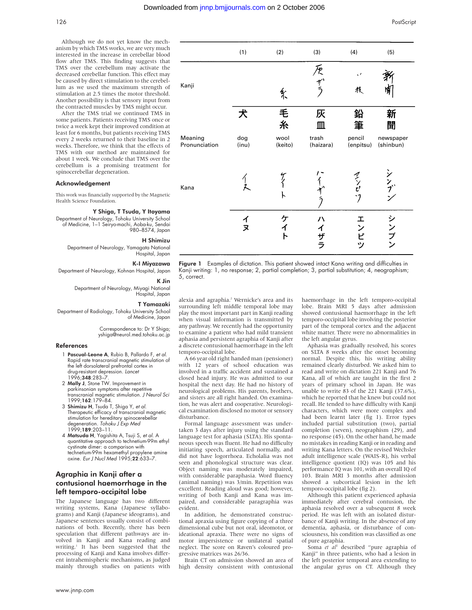126 PostScript

Although we do not yet know the mechanism by which TMS works, we are very much interested in the increase in cerebellar blood flow after TMS. This finding suggests that TMS over the cerebellum may activate the decreased cerebellar function. This effect may be caused by direct stimulation to the cerebellum as we used the maximum strength of stimulation at 2.5 times the motor threshold. Another possibility is that sensory input from the contracted muscles by TMS might occur.

After the TMS trial we continued TMS in some patients. Patients receiving TMS once or twice a week kept their improved condition at least for 6 months, but patients receiving TMS every 2 weeks returned to their baseline in 2 weeks. Therefore, we think that the effects of TMS with our method are maintained for about 1 week. We conclude that TMS over the cerebellum is a promising treatment for spinocerebellar degeneration.

# Acknowledgement

This work was financially supported by the Magnetic Health Science Foundation.

### Y Shiga, T Tsuda, Y Itoyama

Department of Neurology, Tohoku University School of Medicine, 1–1 Seiryo-machi, Aoba-ku, Sendai 980–8574, Japan

# H Shimizu

Mea Pro

Department of Neurology, Yamagata National Hospital, Japan

# K-I Miyazawa

Department of Neurology, Kohnan Hospital, Japan

# K Jin

Department of Neurology, Miyagi National Hospital, Japan

### T Yamazaki

Department of Radiology, Tohoku University School of Medicine, Japan

> Correspondence to: Dr Y Shiga; yshiga@neurol.med.tohoku.ac.jp

# References

- 1 Pascual-Leone A, Rubio B, Pallardo F, et al. Rapid rate transcranial magnetic stimulation of the left dorsolateral prefrontal cortex in drug-resistant depression. Lancet 1996;348:283–7
- 2 Mally J, Stone TW. Improvement in parkinsonian symptoms after repetitive transcranial magnetic stimulation. *J Neurol Sci*<br>1999;**162**:179–84.
- 3 Shimizu H, Tsuda T, Shiga Y, et al. Therapeutic efficacy of transcranial magnetic stimulation for hereditary spinocerebellar degeneration. *Tohoku J Exp Med*<br>1999;**189**:203–11.
- 4 Matsuda H, Yagishita A, Tsuji S, et al. A quantitative approach to technetium-99m ethyl cystinate dimer: a comparison with technetium-99m hexamethyl propylene amine oxine. Eur J Nucl Med 1995;22:633–7.

# Agraphia in Kanji after a contusional haemorrhage in the left temporo-occipital lobe

The Japanese language has two different writing systems, Kana (Japanese syllabograms) and Kanji (Japanese ideograms), and Japanese sentences usually consist of combinations of both. Recently, there has been speculation that different pathways are involved in Kanji and Kana reading and writing.<sup>1</sup> It has been suggested that the processing of Kanji and Kana involves different intrahemispheric mechanisms, as judged mainly through studies on patients with

alexia and agraphia.<sup>2</sup> Wernicke's area and its surrounding left middle temporal lobe may play the most important part in Kanji reading when visual information is transmitted by any pathway. We recently had the opportunity to examine a patient who had mild transient aphasia and persistent agraphia of Kanji after a discrete contusional haemorrhage in the left temporo-occipital lobe.

A 66 year old right handed man (pensioner) with 12 years of school education was involved in a traffic accident and sustained a closed head injury. He was admitted to our hospital the next day. He had no history of neurological problems. His parents, brothers, and sisters are all right handed. On examination, he was alert and cooperative. Neurological examination disclosed no motor or sensory disturbance.

Formal language assessment was undertaken 3 days after injury using the standard language test for aphasia (SLTA). His spontaneous speech was fluent. He had no difficulty initiating speech, articulated normally, and did not have logorrhoea. Echolalia was not seen and phonological structure was clear. Object naming was moderately impaired, with considerable paraphasia. Word fluency (animal naming) was 3/min. Repetition was excellent. Reading aloud was good; however, writing of both Kanji and Kana was impaired, and considerable paragraphia was evident.

In addition, he demonstrated constructional apraxia using figure copying of a three dimensional cube but not oral, ideomotor, or ideational apraxia. There were no signs of motor impersistence or unilateral spatial neglect. The score on Raven's coloured progressive matrices was 26/36.

Brain CT on admission showed an area of high density consistent with contusional

|                          | (1)                                       | (2)             | (3)                | (4)                 | (5)                    |
|--------------------------|-------------------------------------------|-----------------|--------------------|---------------------|------------------------|
| Kanji                    |                                           | 糸               | 欠ずう                | $\cdot$<br>桟        |                        |
|                          | 犬                                         | 毛糸              | 灰<br>皿             | 鉛<br>筆              | 新<br>聞                 |
| Meaning<br>Pronunciation | dog<br>(inu)                              | wool<br>(keito) | trash<br>(haizara) | pencil<br>(enpitsu) | newspaper<br>(shinbun) |
| Kana                     | $\begin{matrix} 1 \ \lambda \end{matrix}$ |                 |                    | アンピ                 | シンプ                    |
|                          | イヌ                                        | ケ<br>イ<br>ĥ     | ハイザラ               | エンピツ                | シンブン                   |

**Figure 1** Examples of dictation. This patient showed intact Kana writing and difficulties in Kanji writing: 1, no response; 2, partial completion; 3, partial substitution; 4, neographism; 5, correct.

> haemorrhage in the left temporo-occipital lobe. Brain MRI 5 days after admission showed contusional haemorrhage in the left temporo-occipital lobe involving the posterior part of the temporal cortex and the adjacent white matter. There were no abnormalities in the left angular gyrus.

> Aphasia was gradually resolved, his scores on SLTA 8 weeks after the onset becoming normal. Despite this, his writing ability remained clearly disturbed. We asked him to read and write on dictation 221 Kanji and 76 Kana, all of which are taught in the first 2 years of primary school in Japan. He was unable to write 83 of the 221 Kanji (37.6%). which he reported that he knew but could not recall. He tended to have difficulty with Kanji characters, which were more complex and had been learnt later (fig 1). Error types included partial substitution (two), partial completion (seven), neographism (29), and no response (45). On the other hand, he made no mistakes in reading Kanji or in reading and writing Kana letters. On the revised Wechsler adult intelligence scale (WAIS-R), his verbal intelligence quotient (IQ) was 105 and his performance IQ was 101, with an overall IQ of 103. Brain MRI 3 months after admission showed a subcortical lesion in the left temporo-occipital lobe (fig 2).

> Although this patient experienced aphasia immediately after cerebral contusion, the aphasia resolved over a subsequent 8 week period. He was left with an isolated disturbance of Kanji writing. In the absence of any dementia, aphasia, or disturbance of consciousness, his condition was classified as one of pure agraphia.

> Soma *et al*<sup>2</sup> described "pure agraphia of Kanji" in three patients, who had a lesion in the left posterior temporal area extending to the angular gyrus on CT. Although they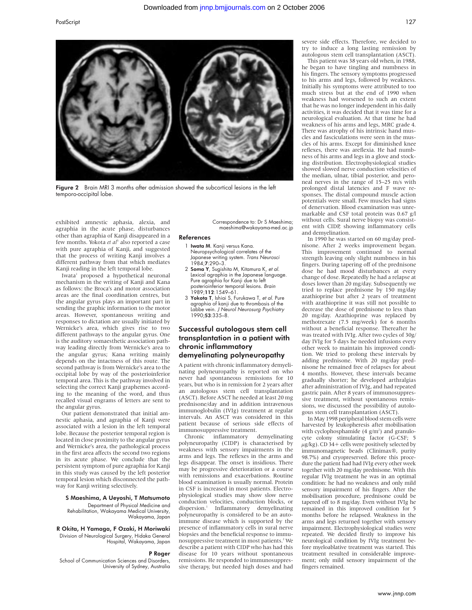

Figure 2 Brain MRI 3 months after admission showed the subcortical lesions in the left temporo-occipital lobe.

exhibited amnestic aphasia, alexia, and agraphia in the acute phase, disturbances other than agraphia of Kanji disappeared in a few months. Yokota *et al*<sup>3</sup> also reported a case with pure agraphia of Kanji, and suggested that the process of writing Kanji involves a different pathway from that which mediates Kanji reading in the left temporal lobe.

Iwata<sup>1</sup> proposed a hypothetical neuronal mechanism in the writing of Kanji and Kana as follows: the Broca's and motor association areas are the final coordination centres, but the angular gyrus plays an important part in sending the graphic information to the motor areas. However, spontaneous writing and responses to dictation are usually initiated by Wernicke's area, which gives rise to two different pathways to the angular gyrus. One is the auditory somaesthetic association pathway leading directly from Wernicke's area to the angular gyrus; Kana writing mainly depends on the intactness of this route. The second pathway is from Wernicke's area to the occipital lobe by way of the posterioinferior temporal area. This is the pathway involved in selecting the correct Kanji graphemes according to the meaning of the word, and thus recalled visual engrams of letters are sent to the angular gyrus.

Our patient demonstrated that initial amnestic aphasia, and agraphia of Kanji were associated with a lesion in the left temporal lobe. Because the posterior temporal region is located in close proximity to the angular gyrus and Wernicke's area, the pathological process in the first area affects the second two regions in its acute phase. We conclude that the persistent symptom of pure agraphia for Kanji in this study was caused by the left posterior temporal lesion which disconnected the pathway for Kanji writing selectively.

### S Maeshima, A Ueyoshi, T Matsumoto

Department of Physical Medicine and Rehabilitation, Wakayama Medical University, Wakayama, Japan

# R Okita, H Yamaga, F Ozaki, H Moriwaki

Division of Neurological Surgery, Hidaka General Hospital, Wakayama, Japan

# P Roger

School of Communication Sciences and Disorders, University of Sydney, Australia Correspondence to: Dr S Maeshima; maeshima@wakayama-med.ac.jp

### References

- 1 Iwata M. Kanji versus Kana. Neuropsychological correlates of the Japanese writing system. Trans Neurosci 1984;7:290–3.
- 2 Soma Y, Sugishita M, Kitamura K, et al. Lexical agraphia in the Japanese language. Pure agraphia for Kanji due to left posterioinferior temporal lesions. Brain 1989;112:1549–61.
- 3 Yokota T, Ishiai S, Furukawa T, et al. Pure agraphia of kanji due to thrombosis of the Labbe vein. J Neurol Neurosurg Psychiatry 1990;53:335–8.

# Successful autologous stem cell transplantation in a patient with chronic inflammatory demyelinating polyneuropathy

A patient with chronic inflammatory demyelinating polyneuropathy is reported on who never had spontaneous remissions for 10 years, but who is in remission for 2 years after an autologous stem cell transplantation (ASCT). Before ASCT he needed at least 20 mg prednisone/day and in addition intravenous immunoglobulin (IVIg) treatment at regular intervals. An ASCT was considered in this patient because of serious side effects of

immunosuppressive treatment.<br>Chronic inflammatory demyelinating inflammatory polyneuropathy (CIDP) is characterised by weakness with sensory impairments in the arms and legs. The reflexes in the arms and legs disappear. The onset is insidious. There may be progressive deterioration or a course with remissions and exacerbations. Routine blood examination is usually normal. Protein in CSF is increased in most patients. Electrophysiological studies may show slow nerve conduction velocities, conduction blocks, or<br>dispersion.<sup>1</sup> Inflammatory demvelinating Inflammatory demyelinating polyneuropathy is considered to be an autoimmune disease which is supported by the presence of inflammatory cells in sural nerve biopsies and the beneficial response to immunosuppressive treatment in most patients.<sup>2</sup> We describe a patient with CIDP who has had this disease for 10 years without spontaneous remissions. He responded to immunosuppressive therapy, but needed high doses and had severe side effects. Therefore, we decided to try to induce a long lasting remission by autologous stem cell transplantation (ASCT).

This patient was 38 years old when, in 1988, he began to have tingling and numbness in his fingers. The sensory symptoms progressed to his arms and legs, followed by weakness. Initially his symptoms were attributed to too much stress but at the end of 1990 when weakness had worsened to such an extent that he was no longer independent in his daily activities, it was decided that it was time for a neurological evaluation. At that time he had weakness of his arms and legs, MRC grade 4. There was atrophy of his intrinsic hand muscles and fasciculations were seen in the muscles of his arms. Except for diminished knee reflexes, there was areflexia. He had numbness of his arms and legs in a glove and stocking distribution. Electrophysiological studies showed slowed nerve conduction velocities of the median, ulnar, tibial posterior, and peroneal nerves in the range of 15–25 m/s with prolonged distal latencies and F wave responses. The distal compound muscle action potentials were small. Few muscles had signs of denervation. Blood examination was unremarkable and CSF total protein was 0.67 g/l without cells. Sural nerve biopsy was consistent with CIDP, showing inflammatory cells and demyelination.

In 1990 he was started on 60 mg/day prednisone. After 2 weeks improvement began. This improvement continued to normal strength leaving only slight numbness in his fingers. During tapering off of the prednisone dose he had mood disturbances at every change of dose. Repeatedly he had a relapse at doses lower than 20 mg/day. Subsequently we tried to replace prednisone by 150 mg/day azathioprine but after 2 years of treatment with azathioprine it was still not possible to decrease the dose of prednisone to less than 20 mg/day. Azathioprine was replaced by methotrexate (7.5 mg/week) for 6 months without a beneficial response. Thereafter he was treated with IVIg. After two cycles of 30g/ day IVIg for 5 days he needed infusions every other week to maintain his improved condition. We tried to prolong these intervals by adding prednisone. With 20 mg/day prednisone he remained free of relapses for about 4 months. However, these intervals became gradually shorter; he developed arthralgias after administration of IVIg, and had repeated gastric pain. After 8 years of immunosuppressive treatment, without spontaneous remissions, we discussed the possibility of autologous stem cell transplantation (ASCT).

In May 1998 peripheral blood stem cells were harvested by leukopheresis after mobilisation with cyclophosphamide  $(4 \text{ g/m}^2)$  and granulocyte colony stimulating factor (G-CSF; 5  $\mu$ g/kg). CD 34+ cells were positively selected by immunomagnetic beads (Clinimax®, purity 98.7%) and cryopreserved. Before this procedure the patient had had IVIg every other week together with 20 mg/day prednisone. With this regular IVIg treatment he was in an optimal condition: he had no weakness and only mild sensory impairment of his fingers. After the mobilisation procedure, prednisone could be tapered off to 8 mg/day. Even without IVIg he remained in this improved condition for 5 months before he relapsed. Weakness in the arms and legs returned together with sensory impairment. Electrophysiological studies were repeated. We decided firstly to improve his neurological condition by IVIg treatment before myeloablative treatment was started. This treatment resulted in considerable improvement; only mild sensory impairment of the fingers remained.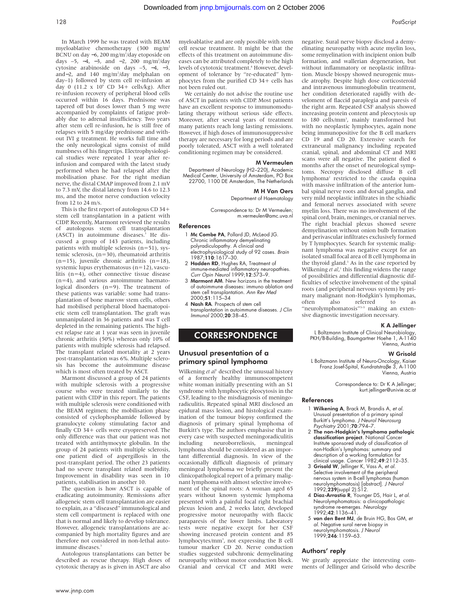In March 1999 he was treated with BEAM myeloablative chemotherapy (300 mg/m2 BCNU on day −6, 200 mg/m²/day etoposide on days –5, –4, –3, and –2, 200 mg/m<sup>2</sup>/day cytosine arabinoside on days –5, −4, −3, and−2, and 140 mg/m2 /day melphalan on day–1) followed by stem cell re-infusion at day 0 (11.2 x  $10^6$  CD 34+ cells/kg). After re-infusion recovery of peripheral blood cells occurred within 16 days. Prednisone was tapered off but doses lower than 5 mg were accompanied by complaints of fatigue probably due to adrenal insufficiency. Two years after stem cell re-infusion, he is still free of relapses with 5 mg/day prednisone and without IVI g treatment. He works full time and the only neurological signs consist of mild numbness of his fingertips. Electrophysiological studies were repeated 1 year after reinfusion and compared with the latest study performed when he had relapsed after the mobilisation phase. For the right median nerve, the distal CMAP improved from 2.1 mV to 7.3 mV, the distal latency from 14.6 to 12.3 ms, and the motor nerve conduction velocity from 12 to 24 m/s.

This is the first report of autologous CD 34+ stem cell transplantation in a patient with CIDP. Recently, Marmont reviewed the results of autologous stem cell transplantation (ASCT) in autoimmune diseases.<sup>3</sup> He discussed a group of 143 patients, including patients with multiple sclerosis (n=51), systemic sclerosis, (n=30), rheumatoid arthritis  $(n=15)$ , juvenile chronic arthritis  $(n=18)$ , systemic lupus erythematosus (n=12), vasculitis (n=4), other connective tissue disease (n=4), and various autoimmune haematological disorders (n=9). The treatment of these patients was variable: some had transplantation of bone marrow stem cells, others had mobilised peripheral blood haematopoietic stem cell transplantation. The graft was unmanipulated in 36 patients and was T cell depleted in the remaining patients. The highest relapse rate at 1 year was seen in juvenile chronic arthritis (50%) whereas only 10% of patients with multiple sclerosis had relapsed. The transplant related mortality at 2 years post-transplantation was 6%. Multiple sclerosis has become the autoimmune disease which is most often treated by ASCT.

Marmont discussed a group of 24 patients with multiple sclerosis with a progressive course who were treated similarly to the patient with CIDP in this report. The patients with multiple sclerosis were conditioned with the BEAM regimen; the mobilisation phase consisted of cyclophosphamide followed by granulocyte colony stimulating factor and finally CD 34+ cells were cryopreserved. The only difference was that our patient was not treated with antithymocyte globulin. In the group of 24 patients with multiple sclerosis, one patient died of aspergillosis in the post-transplant period. The other 23 patients had no severe transplant related morbidity. Improvement in disability was seen in 10 patients, stabilisation in another 10.

The question is how ASCT is capable of eradicating autoimmunity. Remissions after allogeneic stem cell transplantation are easier to explain, as a "diseased" immunological and stem cell compartment is replaced with one that is normal and likely to develop tolerance. However, allogeneic transplantations are accompanied by high mortality figures and are therefore not considered in non-lethal autoimmune diseases.<sup>3</sup>

Autologous transplantations can better be described as rescue therapy. High doses of cytotoxic therapy as is given in ASCT are also

myeloablative and are only possible with stem cell rescue treatment. It might be that the effects of this treatment on autoimmune diseases can be attributed completely to the high levels of cytotoxic treatment.4 However, development of tolerance by "re-educated" lymphocytes from the purified CD 34+ cells has not been ruled out.

We certainly do not advise the routine use of ASCT in patients with CIDP. Most patients have an excellent response to immunomodulating therapy without serious side effects. Moreover, after several years of treatment many patients reach long lasting remissions. However, if high doses of immunosuppressive therapy are necessary for long periods and are poorly tolerated, ASCT with a well tolerated conditioning regimen may be considered.

### M Vermeulen

Department of Neurology (H2–220), Academic Medical Center, University of Amsterdam, PO Box 22700, 1100 DE Amsterdam, The Netherlands

> M H Van Oers Department of Haematology

Correspondence to: Dr M Vermeulen; m.vermeulen@amc.uva.nl

## References

- 1 Mc Combe PA, Pollard JD, McLeod JG. Chronic inflammatory demyelinating polyradiculopathy. A clinical and electrophysiological study of 92 cases. Brain 1987;110:1617–30.
- 2 Hadden RD, Hughes RA, Treatment of immune-mediated inflammatory neuropathies. Curr Opin Neurol 1999;12:573–9.
- 3 Marmont AM. New horizons in the treatment of autoimmune diseases: immuno ablation and stem cell transplantation. Ann Rev Med 2000;51:115–34
- 4 Nash RA. Prospects of stem cell transplantation in autoimmune diseases. J Clin Immunol 2000;20:38–45.

# **CORRESPONDENCE**

# Unusual presentation of a primary spinal lymphoma

Wilkening *et al*<sup>1</sup> described the unusual history of a formerly healthy immunocompetent white woman initially presenting with an S1 syndrome with lymphocytic pleocytosis in the CSF, leading to the misdiagnosis of meningoradiculitis. Repeated spinal MRI disclosed an epidural mass lesion, and histological examination of the tumour biopsy confirmed the diagnosis of primary spinal lymphoma of Burkitt's type. The authors emphasise that in every case with suspected meningoradiculitis<br>including neuroborreliosis. meningeal neuroborreliosis. lymphoma should be considered as an important differential diagnosis. In view of the occasionally difficult diagnosis of primary meningeal lymphoma we briefly present the clinicopathological report of a primary malignant lymphoma with almost selective involvement of the spinal roots: A woman aged 65 years without known systemic lymphoma presented with a painful focal right brachial plexus lesion and, 2 weeks later, developed progressive motor neuropathy with flaccic paraparesis of the lower limbs. Laboratory tests were negative except for her CSF showing increased protein content and 85 lymphocytes/mm3 , not expressing the B cell tumour marker CD 20. Nerve conduction studies suggested subchronic demyelinating neuropathy without motor conduction block. Cranial and cervical CT and MRI were negative. Sural nerve biopsy disclosd a demyelinating neuropathy with acute myelin loss, some remyelination with incipient onion bulb formation, and wallerian degeneration, but without inflammatory or neoplastic infiltration. Muscle biospy showed neurogenic muscle atrophy. Despite high dose corticosteroid and intravenous immunoglobulin treatment, her condition deteriorated rapidly with develoment of flaccid paraplegia and paresis of the right arm. Repeated CSF analysis showed increasing protein content and pleocytosis up to 180 cells/mm<sup>3</sup>, mainly transformed but with no neoplastic lymphocytes, again none being immunopositive for the B cell markers CD 19 and CD 20. Extensive search for extraneural malignancy including repeated cranial, spinal, and abdominal CT and MRI scans were all negative. The patient died 6 months after the onset of neurological symptoms. Necropsy disclosed diffuse B cell lymphoma<sup>2</sup> restricted to the cauda equina with massive infiltration of the anterior lumbal spinal nerve roots and dorsal ganglia, and very mild neoplastic infiltrates in the schiadic and femoral nerves associated with severe myelin loss. There was no involvement of the spinal cord, brain, meninges, or cranial nerves. The right brachial plexus showed severe demyelination without onion bulb formation and perivascular infiltrates exclusively formed by T lymphocytes. Search for systemic malignant lymphoma was negative except for an isolated small focal area of B cell lymphoma in the thyroid gland.<sup>3</sup> As in the case reported by Wilkening et al,<sup>1</sup> this finding widens the range of possibilities and differential diagnostic difficulties of selective involvement of the spinal roots (and peripheral nervous system) by primary malignant non-Hodgkin's lymphomas,<br>often also referred to as referred to as "neurolymphomatosis"<sup>3-5</sup> making an extensive diagnostic investigation necessary.

# K A Jellinger

L Boltzmann Institute of Clinical Neurobiology, PKH/B-Building, Baumgartner Hoehe 1, A-1140 Vienna, Austria

### W Grisold

L Boltzmann Institute of Neuro-Oncology, Kaiser Franz Josef-Spital, Kundratstraβe 3, A-1100 Vienna, Austria

> Correspondence to: Dr K A Jellinger; kurt.jellinger@univie.ac.at

# References

- 1 Wilkening A, Brack M, Brandis A, et al. Unusual presentation of a primary spinal Burkitt's lymphoma. J Neurol Neurosurg Psychiatry 2001;70:794–7.
- 2 The non-Hodgkin's lymphoma pathologic classification project. National Cancer Institute sponsored study of classification of non-Hodkin's lymphomas: summary and description of a working formulation for
- clinical usage. Cancer 1982;49:2112–35. 3 Grisold W, Jellinger K, Vass A, et al. Selective involvement of the peripheral nervous system in B-cell lymphomas (human neurolymphomatosis) [abstract]. J Neurol 1992;239(suppl 2):S12.
- 4 Diaz-Arrastia R, Younger DS, Hair L, et al. Neurolymphomatosis: a clinicopathologic syndrome re-emerges. Neurology 1992;42:1136–41.
- 5 van den Bent MJ, de Bruin HG, Bos GM, et al. Negative sural nerve biopsy in neurolymphomatosis. J Neurol 1999;246:1159–63.

# Authors' reply

We greatly appreciate the interesting comments of Jellinger and Grisold who describe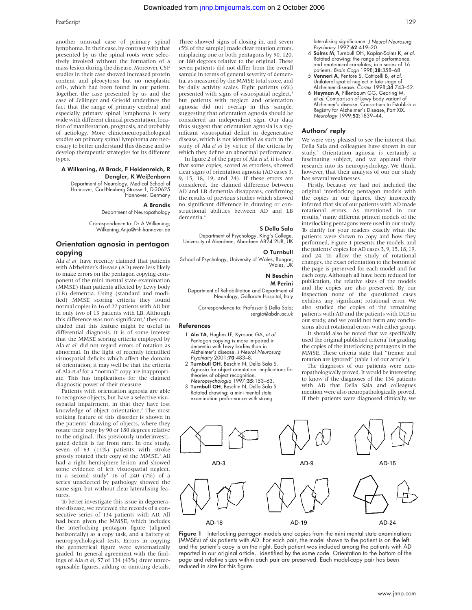another unusual case of primary spinal lymphoma. In their case, by contrast with that presented by us the spinal roots were selectively involved without the formation of a mass lesion during the disease. Moreover, CSF studies in their case showed increased protein content and pleocytosis but no neoplastic cells, which had been found in our patient. Together, the case presented by us and the case of Jellinger and Grisold underlines the fact that the range of primary cerebral and especially primary spinal lymphoma is very wide with different clinical presentation, location of manifestation, prognosis, and probably of aetiology. More cliniconeuropathological studies on primary spinal lymphoma are necessary to better understand this disease and to develop therapeutic strategies for its different types.

# A Wilkening, M Brack, F Heidenreich, R Dengler, K Weiβenborn

Department of Neurology, Medical School of Hannover, Carl-Neuberg Strasse 1, D-30625 Hannover, Germany

# A Brandis

Department of Neuropathology

Correspondence to: Dr A Wilkening; Wilkening.Anja@mh-hannover.de

# Orientation agnosia in pentagon copying

Ala *et al*<sup>1</sup> have recently claimed that patients with Alzheimer's disease (AD) were less likely to make errors on the pentagon copying component of the mini mental state examination (MMSE) than patients affected by Lewy body (LB) dementia. Using (standard and modified) MMSE scoring criteria they found normal copies in 16 of 27 patients with AD but in only two of 13 patients with LB. Although this difference was non-significant, $\frac{1}{1}$  they concluded that this feature might be useful in differential diagnosis. It is of some interest that the MMSE scoring criteria employed by Ala *et al*<sup>1</sup> did not regard errors of rotation as abnormal. In the light of recently identified visuospatial deficits which affect the domain of orientation, it may well be that the criteria of Ala *et al* for a "normal" copy are inappropriate. This has implications for the claimed diagnostic power of their measure.

Patients with orientation agnosia are able to recognise objects, but have a selective visuospatial impairment, in that they have lost knowledge of object orientation.<sup>2</sup> The most striking feature of this disorder is shown in the patients' drawing of objects, where they rotate their copy by 90 or 180 degrees relative to the original. This previously underinvestigated deficit is far from rare. In one study, seven of 63 (11%) patients with stroke grossly rotated their copy of the MMSE.<sup>3</sup> All had a right hemisphere lesion and showed some evidence of left visuospatial neglect. In a second study<sup>4</sup> 16 of 240  $(7%)$  of a series unselected by pathology showed the same sign, but without clear lateralising features.

To better investigate this issue in degenerative disease, we reviewed the records of a consecutive series of 134 patients with AD. All had been given the MMSE, which includes the interlocking pentagon figure (aligned horizontally) as a copy task, and a battery of neuropsychological tests. Errors in copying the geometrical figure were systematically graded. In general agreement with the findings of Ala *et al*, 57 of 134 (43%) drew unrecognisable figures, adding or omitting details.

Three showed signs of closing in, and seven (5% of the sample) made clear rotation errors, misplacing one or both pentagons by 90, 120, or 180 degrees relative to the original. These seven patients did not differ from the overall sample in terms of general severity of dementia, as measured by the MMSE total score, and by daily activity scales. Eight patients (6%) presented with signs of visuospatial neglect,<sup>5</sup> but patients with neglect and orientation agnosia did not overlap in this sample, suggesting that orientation agnosia should be considered an independent sign. Our data thus suggest that orientation agnosia is a significant visuospatial deficit in degenerative disease, which is not identified as such in the study of Ala *et al* by virtue of the criteria by which they define an abnormal performance.

In figure 2 of the paper of Ala *et al*, it is clear that some copies, scored as errorless, showed clear signs of orientation agnosia (AD cases 3, 9, 15, 18, 19, and 24). If these errors are considered, the claimed difference between AD and LB dementia disappears, confirming the results of previous studies which showed no significant difference in drawing or constructional abilities between AD and LB dementia.<sup>6</sup>

# S Della Sala

Department of Psychology, King's College, University of Aberdeen, Aberdeen AB24 2UB, UK

# O Turnbull

School of Psychology, University of Wales, Bangor Wales, UK

# N Beschin

M Perini

Department of Rehabilitation and Department of Neurology, Gallarate Hospital, Italy

Correspondence to: Professor S Della Sala; sergio@abdn.ac.uk

#### References

- 1 Ala TA, Hughes LF, Kyrouac GA, et al. Pentagon copying is more impaired in dementia with Lewy bodies than in Alzheimer's disease. J Neurol Neurosurg Psychiatry 2001;70:483–8.
- 2 Turnbull OH, Beschin N, Della Sala S. Agnosia for object orientation: implications for theories of object recognition.<br>1997;**35**:153–63.<br>3 **Turnbull OH**, Beschin N, Della Sala S.
- Rotated drawing: a mini mental state examination performance with strong

lateralising significance. *J Neurol Neurosurg*<br>*Psychiatry* 1997;**62**:419–20.

- 4 Solms M, Turnbull OH, Kaplan-Solms K, et al. Rotated drawing: the range of performance, and anatomical correlates, in a series of 16 patients. *Brain Cogn* 1998;38:358–68.<br>5 **Venneri A**, Pentore S, Cotticelli B, et al.
- Unilateral spatial neglect in late stage of<br>Alzheimer disease. *Cortex* 1998;**34**:743–52.
- 6 Heyman A, Fillenbaum GG, Gearing M, et al. Comparison of Lewy body variant of Alzheimer's disease: Consortium to Establish a Registry for Alzheimer's Disease, Part XIX. Neurology 1999;52:1839–44.

# Authors' reply

We were very pleased to see the interest that Della Sala and colleagues have shown in our study.1 Orientation agnosia is certainly a fascinating subject, and we applaud their research into its neuropsychology. We think, however, that their analysis of our our study has several weaknesses.

Firstly, because we had not included the original interlocking pentagon models with the copies in our figures, they incorrectly inferred that six of our patients with AD made rotational errors. As mentioned in our results,<sup>1</sup> many different printed models of the interlocking pentagons were used in our study. To clarify for your readers exactly what the patients were shown to copy and how they performed, Figure 1 presents the models and the patients' copies for AD cases 3, 9, 15, 18, 19, and 24. To allow the study of rotational changes, the exact orientation to the bottom of the page is preserved for each model and for each copy. Although all have been reduced for publication, the relative sizes of the models and the copies are also preserved. By our inspection none of the questioned cases exhibits any significant rotational error. We also studied the copies of the remaining patients with AD and the patients with DLB in our study, and we could not form any conclusions about rotational errors with either group.

It should also be noted that we specifically used the original published criteria<sup>2</sup> for grading the copies of the interlocking pentagons in the MMSE. These criteria state that "tremor and rotation are ignored" (table 1 of our article<sup>1</sup>).

The diagnoses of our patients were neuropathologically proved. It would be interesting to know if the diagnoses of the 134 patients with AD that Della Sala and colleagues mention were also neuropathologically proved. If their patients were diagnosed clinically, we



Figure 1 Interlocking pentagon models and copies from the mini mental state examinations (MMSEs) of six patients with AD. For each pair, the model shown to the patient is on the left and the patient's copy is on the right. Each patient was included among the patients with AD reported in our original article,1 identified by the same code. Orientation to the bottom of the page and relative sizes within each pair are preserved. Each model-copy pair has been reduced in size for this figure.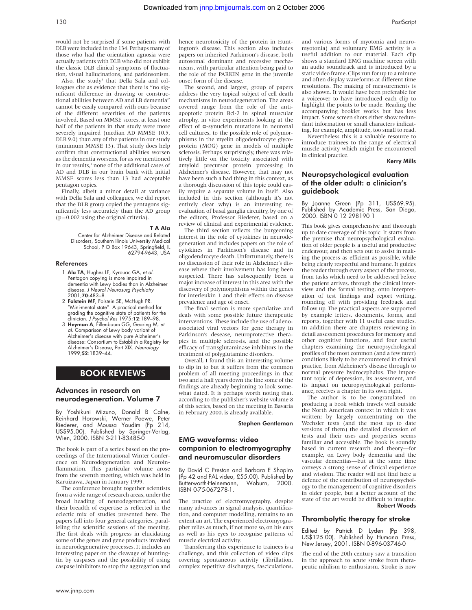would not be surprised if some patients with DLB were included in the 134. Perhaps many of those who had the orientation agnosia were actually patients with DLB who did not exhibit the classic DLB clinical symptoms of fluctuation, visual hallucinations, and parkinsonism.

Also, the study<sup>3</sup> that Della Sala and colleagues cite as evidence that there is "no significant difference in drawing or constructional abilities between AD and LB dementia" cannot be easily compared with ours because of the different severities of the patients involved. Based on MMSE scores, at least one half of the patients in that study were more severely impaired (median AD MMSE 10.5, DLB 9.0) than any of the patients in our study (minimum MMSE 13). That study does help confirm that constructional abilities worsen as the dementia worsens, for as we mentioned in our results,<sup>1</sup> none of the additional cases of AD and DLB in our brain bank with initial MMSE scores less than 13 had acceptable pentagon copies.

Finally, albeit a minor detail at variance with Della Sala and colleagues, we did report that the DLB group copied the pentagons significantly less accurately than the AD group (p=0.002 using the original criteria).

## T A Ala

Center for Alzheimer Disease and Related Disorders, Southern Ilinois University Medical School, P O Box 19643, Springfield, IL 62794-9643, USA

### References

- 1 Ala TA, Hughes LF, Kyrouac GA, et al. Pentagon copying is more impaired in dementia with Lewy bodies than in Alzheimer disease. J Neurol Neurosurg Psychiatry 2001;70:483–8.
- 2 Folstein MF, Folstein SE, McHugh PR. "Mini-mental state". A practical method for grading the cognitive state of patients for the clinician. J Psychol Res 1975;12:189–98.
- 3 Heyman A, Fillenbaum GG, Gearing M, et al. Comparison of Lewy body variant of Alzheimer's disease with pure Alzheimer's disease: Consortium to Establish a Registry for Alzheimer's Disease, Part XIX. Neurology 1999;52:1839–44.

# BOOK REVIEWS

# Advances in research on neurodegeneration. Volume 7

By Yoshikuni Mizuno, Donald B Calne, Reinhard Horowski, Werner Poewe, Peter Riederer, and Moussa Youdim (Pp 214, US\$95.00). Published by Springer-Verlag, Wien, 2000. ISBN 3-211-83485-0

The book is part of a series based on the proceedings of the International Winter Conference on Neurodegeneration and Neuroinflammation. This particular volume arose from the seventh meeting, which was held in Karuizawa, Japan in January 1999.

The conference brought together scientists from a wide range of research areas, under the broad heading of neurodegeneration, and their breadth of expertise is reflected in the eclectic mix of studies presented here. The papers fall into four general categories, paralleling the scientific sessions of the meeting. The first deals with progress in elucidating some of the genes and gene products involved in neurodegenerative processes. It includes an interesting paper on the cleavage of huntingtin by caspases and the possibility of using caspase inhibitors to stop the aggregation and

hence neurotoxicity of the protein in Huntington's disease. This section also includes papers on inherited Parkinson's disease, both autosomal dominant and recessive mechanisms, with particular attention being paid to the role of the PARKIN gene in the juvenile onset form of the disease.

The second, and largest, group of papers address the very topical subject of cell death mechanisms in neurodegeneration. The areas covered range from the role of the antiapoptotic protein Bcl-2 in spinal muscular atrophy, in vitro experiments looking at the effect of α-synuclein mutations in neuronal cell cultures, to the possible role of polymorphisms in the myelin oligodendrocyte glycoprotein (MOG) gene in models of multiple sclerosis. Perhaps surprisingly, there was relatively little on the toxicity associated with amyloid precursor protein processing in Alzheimer's disease. However, that may not have been such a bad thing in this context, as a thorough discussion of this topic could easily require a separate volume in itself. Also included in this section (although it's not entirely clear why) is an interesting reevaluation of basal ganglia circuitry, by one of the editors, Professor Riederer, based on a review of clinical and experimental evidence.

The third section reflects the burgeoning interest in the role of cytokines in neurodegeneration and includes papers on the role of cytokines in Parkinson's disease and in oligodendrocyte death. Unfortunately, there is no discussion of their role in Alzheimer's disease where their involvement has long been suspected. There has subsequently been a major increase of interest in this area with the discovery of polymorphisms within the genes for interleukin 1 and their effects on disease prevalence and age of onset.

The final section is more speculative and deals with some possible future therapeutic interventions. These include the use of adenoassociated viral vectors for gene therapy in Parkinson's desease, neuroprotective therapies in multiple sclerosis, and the possible efficacy of transglutaminase inhibitors in the treatment of polyglutamine disorders.

Overall, I found this an interesting volume to dip in to but it suffers from the common problem of all meeting proceedings in that two and a half years down the line some of the findings are already beginning to look somewhat dated. It is perhaps worth noting that, according to the publisher's website volume 8 of this series, based on the meeting in Bavaria in February 2000, is already available.

### Stephen Gentleman

# EMG waveforms: video companion to electromyography and neuromuscular disorders

By David C Preston and Barbara E Shapiro (Pp 42 and PAL video, £55.00). Published by<br>Butterworth-Heinemann, Woburn, 2000. Butterworth-Heinemann, ISBN 0-75-067278-1.

The practice of electromyography, despite many advances in signal analysis, quantification, and computer modelling, remains to an extent an art. The experienced electromyographer relies as much, if not more so, on his ears as well as his eyes to recognise patterns of muscle electrical activity.

Transferring this experience to trainees is a challenge, and this collection of video clips covering spontaneous activity (fibrillation, complex repetitive discharges, fasciculations,

and various forms of myotonia and neuromyotonia) and voluntary EMG activity is a useful addition to our material. Each clip shows a standard EMG machine screen with an audio soundtrack and is introduced by a static video frame. Clips run for up to a minute and often display waveforms at different time resolutions. The making of measurements is also shown. It would have been preferable for a voiceover to have introduced each clip to highlight the points to be made. Reading the accompanying booklet works but has less impact. Some screen shots either show redundant information or small characters indicating, for example, amplitude, too small to read.

Nevertheless this is a valuable resource to introduce trainees to the range of electrical muscle activity which might be encountered in clinical practice.

Kerry Mills

# Neuropsychological evaluation of the older adult: a clinician's guidebook

By Joanne Green (Pp 311, US\$69.95). Published by Academic Press, San Diego, 2000. ISBN 0 12 298190 1

This book gives comprehensive and thorough up to date coverage of this topic. It starts from the premise that neuropsychological evaluation of older people is a useful and productive endeavour, and then sets out to assist in making the process as efficient as possible, while being clearly respectful and humane. It guides the reader through every aspect of the process, from tasks which need to be addressed before the patient arrives, through the clinical interview and the formal testing, onto interpretation of test findings and report writing, rounding off with providing feedback and follow up. The practical aspects are supported by example letters, documents, forms, and reports, together with 11 useful case studies. In addition there are chapters reviewing in detail assessment procedures for memory and other cognitive functions, and four useful chapters examining the neuropsychological profiles of the most common (and a few rarer) conditions likely to be encountered in clinical practice, from Alzheimer's disease through to normal pressure hydrocephalus. The important topic of depression, its assessment, and its impact on neuropsychological performance, receives a chapter in its own right.

The author is to be congratulated on producing a book which travels well outside the North American context in which it was written; by largely concentrating on the Wechsler tests (and the most up to date versions of them) the detailed discussion of tests and their uses and properties seems familiar and accessible. The book is soundly based in current research and theory—for example, on Lewy body dementia and the vascular dementias—but at the same time conveys a strong sense of clinical experience and wisdom. The reader will not find here a defence of the contribution of neuropsychology to the management of cognitive disorders in older people, but a better account of the state of the art would be difficult to imagine. Robert Woods

# Thrombolytic therapy for stroke

Edited by Patrick D Lyden (Pp 398, US\$125.00). Published by Humana Press, New Jersey, 2001. ISBN 0-896-03746-0

The end of the 20th century saw a transition in the approach to acute stroke from therapeutic nihilism to enthusiasm. Stroke is now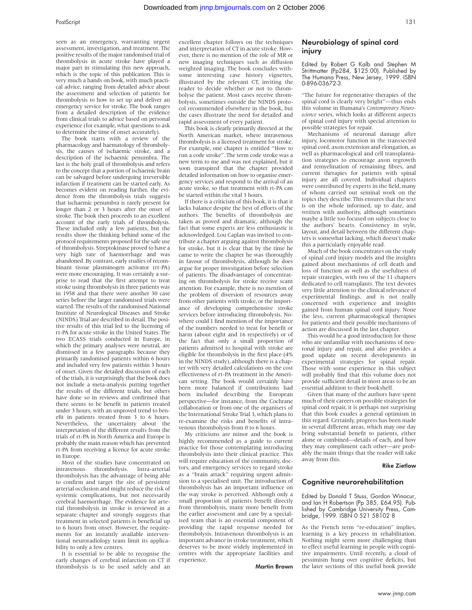seen as an emergency, warranting urgent assessment, investigation, and treatment. The positive results of the major randomised trial of thrombolysis in acute stroke have played a major part in stimulating this new approach, which is the topic of this publication. This is very much a hands on book, with much practical advice, ranging from detailed advice about the assessment and selection of patients for thrombolysis to how to set up and deliver an emergency service for stroke. The book ranges from a detailed description of the evidence from clinical trials to advice based on personal experience (for example, what questions to ask to determine the time of onset accurately).

The book starts with a review of the pharmacology and haematology of thrombolysis, the causes of ischaemic stroke, and a description of the ischaemic penumbra. The last is the holy grail of thrombolysis and refers to the concept that a portion of ischaemic brain can be salvaged before undergoing irreversible infarction if treatment can be started early. As becomes evident on reading further, the evidence from the thrombolysis trials suggests that ischaemic penumbra is rarely present for longer than 2 or 3 hours after the onset of stroke. The book then proceeds to an excellent account of the early trials of thrombolysis. These included only a few patients, but the results show the thinking behind some of the protocol requirements proposed for the safe use of thrombolysis. Streptokinase proved to have a very high rate of haemorrhage and was abandoned. By contrast, early studies of recombinant tissue plasminogen activator (rt-PA) were more encouraging. It was certainly a surprise to read that the first attempt to treat stroke using thrombolysis in three patients was in 1958 and that there were another 30 case series before the larger randomised trials were started. The results of the randomised National Institute of Neurological Diseases and Stroke (NINDS) Trial are described in detail. The positive results of this trial led to the licensing of rt-PA for acute stroke in the United States. The two ECASS trials conducted in Europe, in which the primary analyses were neutral, are dismissed in a few paragraphs because they primarily randomised patients within 6 hours and included very few patients within 3 hours of onset. Given the detailed discussion of each of the trials, it is surprisingly that the book does not include a meta-analysis putting together the results of the different trials, but others have done so in reviews and confirmed that there seems to be benefit in patients treated under 3 hours, with an unproved trend to benefit in patients treated from 3 to 6 hours. Nevertheless, the uncertainty about the interpretation of the different results from the trials of rt-PA in North America and Europe is probably the main reason which has prevented rt-PA from receiving a licence for acute stroke in Europe.

Most of the studies have concentrated on intravenous thrombolysis. Intra-arterial thrombolysis has the advantage of being able to confirm and target the site of persistent arterial occlusion and might reduce the risk of systemic complications, but not necessarily cerebral haemorrhage. The evidence for arterial thrombolysis in stroke is reviewed in a separate chapter and strongly suggests that treatment in selected patients is beneficial up to 6 hours from onset. However, the requirements for an instantly available interventional neuroradiology team limit its applicability to only a few centres.

It is essential to be able to recognise the early changes of cerebral infarction on CT if thrombolysis is to be used safely and an

excellent chapter follows on the techniques and interpretation of CT in acute stroke. However, there is no mention of the role of MR or new imaging techniques such as diffusion weighted imaging. The book concludes withsome interesting case history vignettes, illustrated by the relevant CT, inviting the reader to decide whether or not to thrombolyse the patient. Most cases receive thrombolysis, sometimes outside the NINDS protocol recommended elsewhere in the book, but the cases illustrate the need for detailed and rapid assessment of every patient.

This book is clearly primarily directed at the North American market, where intravenous thrombolysis is a licensed treatment for stroke. For example, one chapter is entitled "How to run a code stroke". The term code stroke was a new term to me and was not explained, but it soon transpired that the chapter provided detailed information on how to organise emergency services and respond to the arrival of an acute stroke, so that treatment with rt-PA can be started within the vital 3 hours.

If there is a criticism of this book, it is that it lacks balance despite the best of efforts of the authors. The benefits of thrombolysis are taken as proved and dramatic, although the fact that some experts are less enthusiastic is acknowledged. Lou Caplan was invited to contribute a chapter arguing against thrombolysis for stroke, but it is clear that by the time he came to write the chapter he was thoroughly in favour of thrombolysis, although he does argue for proper investigation before selection of patients. The disadvantages of concentrating on thrombolysis for stroke receive scant attention. For example, there is no mention of the problem of diversion of resources away from other patients with stroke, or the importance of developing comprehensive stroke services before introducing thrombolysis. Nowhere could I find mention of the importance of the numbers needed to treat for benefit or harm (about eight and 16 respectively) or of the fact that only a small proportion of patients admitted to hospital with stroke are eligible for thrombolysis in the first place (4% in the NINDS study), although there is a chapter with very detailed calculations on the cost effectiveness of rt-PA treatment in the American setting. The book would certainly have been more balanced if contributions had been included describing the European perspective—for instance, from the Cochrane collaboration or from one of the organisers of the International Stroke Trial 3, which plans to re-examine the risks and benefits of intravenous thrombolysis from 0 to 6 hours.

My criticisms are minor and the book is highly recommended as a guide to current practice for those contemplating introducing thrombolysis into their clinical practice. This will require education of the community, doctors, and emergency services to regard stroke as a "brain attack" requiring urgent admission to a specialised unit. The introduction of thrombolysis has an important influence on the way stroke is perceived. Although only a small proportion of patients benefit directly from thrombolysis, many more benefit from the earlier assessment and care by a specialised team that is an essential component of providing the rapid response needed for thrombolysis. Intravenous thrombolysis is an important advance in stroke treatment, which deserves to be more widely implemented in centres with the appropriate facilities and experience.

### Martin Brown

# Neurobiology of spinal cord injury

Edited by Robert G Kalb and Stephen M Strittmatter (Pp284, \$125.00). Published by The Humana Press, New Jersey, 1999. ISBN 0-896-03672-3.

"The future for regenerative therapies of the spinal cord is clearly very bright"—thus ends this volume in Humana's *Contemporary Neuroscience* series, which looks at different aspects of spinal cord injury with special attention to possible strategies for repair.

Mechanisms of neuronal damage after injury, locomotor function in the transsected spinal cord, axon extension and elongation, as well as pharmacological and cell transplantation strategies to encourage axon regrowth and remyelination of remaining fibres, and current therapies for patients with spinal injury are all covered. Individual chapters were contributed by experts in the field, many of whom carried out seminal work on the topics they describe. This ensures that the text is on the whole informed, up to date, and written with authority, although sometimes maybe a little too focused on subjects close to the authors' hearts. Consistency in style, layout, and detail between the different chapters is somewhat lacking, which doesn't make this a particularly enjoyable read.

Much of the book concentrates on the study of spinal cord injury models and the insights gained about mechanisms of cell death and loss of function as well as the usefulness of repair strategies, with two of the 11 chapters dedicated to cell transplants. The text devotes very little attention to the clinical relevance of experimental findings, and is not really concerned with experience and insights gained from human spinal cord injury. None the less, current pharmacological therapies for patients and their possible mechanisms of action are discussed in the last chapter.

This would be a good introduction for those who are unfamiliar with mechanisms of neuronal injury and repair, and also provides a good update on recent developments in experimental strategies for spinal repair. Those with some experience in this subject will probably find that this volume does not provide sufficient detail in most areas to be an essential addition to their bookshelf.

Given that many of the authors have spent much of their careers on possible strategies for spinal cord repair, it is perhaps not surprising that this book exudes a general optimism in this regard. Certainly, progress has been made in several different areas, which may one day bring substantial benefit to patients, either alone or combined—details of each, and how they may compliment each other—are probably the main things that the reader will take away from this.

Rike Zietlow

# Cognitive neurorehabilitation

Edited by Donald T Stuss, Gordon Winocur, and Ian H Robertson (Pp 385, £64.95). Published by Cambridge University Press, Cambridge, 1999. ISBN 0 521 58102 8

As the French term "re-education" implies, learning is a key process in rehabilitation. Nothing might seem more challenging than to effect useful learning in people with cognitive impairments. Until recently, a cloud of pessimism hung over cognitive deficits, but the later sections of this useful book provide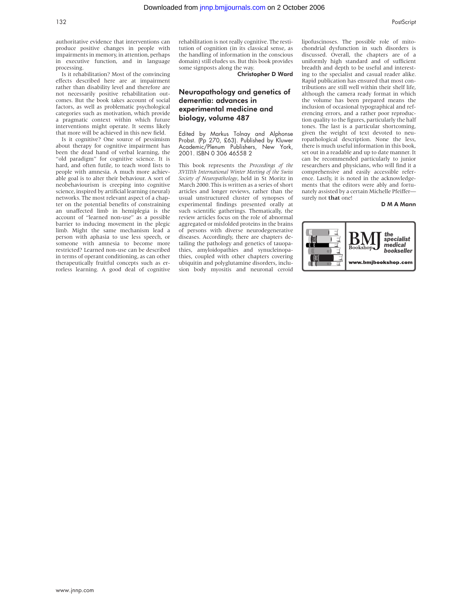authoritative evidence that interventions can produce positive changes in people with impairments in memory, in attention, perhaps in executive function, and in language processing.

Is it rehabilitation? Most of the convincing effects described here are at impairment rather than disability level and therefore are not necessarily positive rehabilitation outcomes. But the book takes account of social factors, as well as problematic psychological categories such as motivation, which provide a pragmatic context within which future interventions might operate. It seems likely that more will be achieved in this new field.

Is it cognitive? One source of pessimism about therapy for cognitive impairment has been the dead hand of verbal learning, the "old paradigm" for cognitive science. It is hard, and often futile, to teach word lists to people with amnesia. A much more achievable goal is to alter their behaviour. A sort of neobehaviourism is creeping into cognitive science, inspired by artificial learning (neural) networks. The most relevant aspect of a chapter on the potential benefits of constraining an unaffected limb in hemiplegia is the account of "learned non-use" as a possible barrier to inducing movement in the plegic limb. Might the same mechanism lead a person with aphasia to use less speech, or someone with amnesia to become more restricted? Learned non-use can be described in terms of operant conditioning, as can other therapeutically fruitful concepts such as errorless learning. A good deal of cognitive rehabilitation is not really cognitive. The restitution of cognition (in its classical sense, as the handling of information in the conscious domain) still eludes us. But this book provides some signposts along the way.

Christopher D Ward

# Neuropathology and genetics of dementia: advances in experimental medicine and biology, volume 487

Edited by Markus Tolnay and Alphonse Probst. (Pp 270, £63). Published by Kluwer Academic/Plenum Publishers, New York, 2001. ISBN 0 306 46558 2

This book represents the *Proceedings of the XVIIIth International Winter Meeting of the Swiss Society of Neuropathology*, held in St Moritz in March 2000. This is written as a series of short articles and longer reviews, rather than the usual unstructured cluster of synopses of experimental findings presented orally at such scientific gatherings. Thematically, the review articles focus on the role of abnormal aggregated or misfolded proteins in the brains of persons with diverse neurodegenerative diseases. Accordingly, there are chapters detailing the pathology and genetics of tauopathies, amyloidopathies and synucleinopathies, coupled with other chapters covering ubiquitin and polyglutamine disorders, inclusion body myositis and neuronal ceroid lipofuscinoses. The possible role of mitochondrial dysfunction in such disorders is discussed. Overall, the chapters are of a uniformly high standard and of sufficient breadth and depth to be useful and interesting to the specialist and casual reader alike. Rapid publication has ensured that most contributions are still well within their shelf life, although the camera ready format in which the volume has been prepared means the inclusion of occasional typographical and referencing errors, and a rather poor reproduction quality to the figures, particularly the half tones. The last is a particular shortcoming, given the weight of text devoted to neuropathological description. None the less, there is much useful information in this book, set out in a readable and up to date manner. It can be recommended particularly to junior researchers and physicians, who will find it a comprehensive and easily accessible reference. Lastly, it is noted in the acknowledgements that the editors were ably and fortunately assisted by a certain Michelle Pfeiffer surely not **that** one!

## D M A Mann

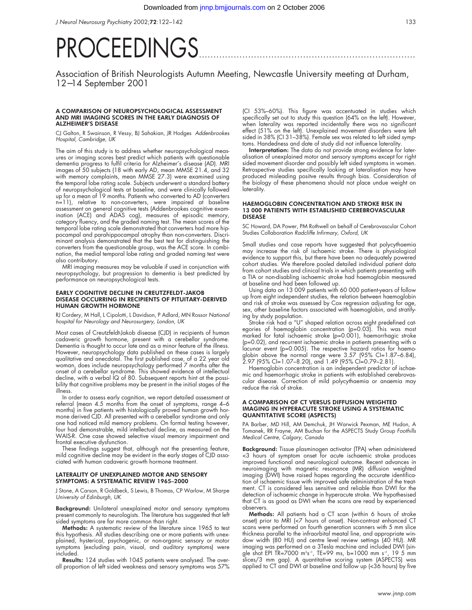# PROCEEDINGS.

Association of British Neurologists Autumn Meeting, Newcastle University meeting at Durham, 12−14 September 2001

### A COMPARISON OF NEUROPSYCHOLOGICAL ASSESSMENT AND MRI IMAGING SCORES IN THE EARLY DIAGNOSIS OF ALZHEIMER'S DISEASE

CJ Galton, R Swainson, R Vessy, BJ Sahakian, JR Hodges Addenbrookes Hospital, Cambridge, UK

The aim of this study is to address whether neuropsychological measures or imaging scores best predict which patients with questionable dementia progress to fulfil criteria for Alzheimer's disease (AD). MRI images of 50 subjects (18 with early AD, mean MMSE 21.4, and 32 with memory complaints, mean MMSE 27.3) were examined using the temporal lobe rating scale. Subjects underwent a standard battery of neuropsychological tests at baseline, and were clinically followed up for a mean of 19 months. Patients who converted to AD (converters n=11), relative to non-converters, were impaired at baseline assessment on general cognitive tests (Addenbrookes cognitive examination (ACE) and ADAS cog), measures of episodic memory, category fluency, and the graded naming test. The mean scores of the temporal lobe rating scale demonstrated that converters had more hippocampal and parahippocampal atrophy than non-converters. Discriminant analysis demonstrated that the best test for distinguishing the converters from the questionable group, was the ACE score. In combination, the medial temporal lobe rating and graded naming test were also contributory.

MRI imaging measures may be valuable if used in conjunction with neuropsychology, but progression to dementia is best predicted by performance on neuropsychological tests.

# EARLY COGNITIVE DECLINE IN CREUTZFELDT-JAKOB DISEASE OCCURRING IN RECIPIENTS OF PITUITARY-DERIVED HUMAN GROWTH HORMONE

RJ Cordery, M Hall, L Cipolotti, L Davidson, P Adlard, MN Rossor National hospital for Neurology and Neurosurgery, London, UK

Most cases of Creutzfeldt-Jakob disease (CJD) in recipients of human cadaveric growth hormone, present with a cerebellar syndrome. Dementia is thought to occur late and as a minor feature of the illness. However, neuropsychology data published on these cases is largely qualitative and anecdotal. The first published case, of a 22 year old woman, does include neuropsychology performed 7 months after the onset of a cerebellar syndrome. This showed evidence of intellectual decline, with a verbal IQ of 80. Subsequent reports hint at the possibility that cognitive problems may be present in the initial stages of the illness.

In order to assess early cognition, we report detailed assessment at referral (mean 4.5 months from the onset of symptoms, range 4–6 months) in five patients with histologically proved human growth hormone derived CJD. All presented with a cerebellar syndrome and only one had noticed mild memory problems. On formal testing however, four had demonstrable, mild intellectual decline, as measured on the WAIS-R. One case showed selective visual memory impairment and frontal executive dysfunction.

These findings suggest that, although not the presenting feature, mild cognitive decline may be evident in the early stages of CJD associated with human cadaveric growth hormone treatment.

# LATERALITY OF UNEXPLAINED MOTOR AND SENSORY SYMPTOMS: A SYSTEMATIC REVIEW 1965–2000

J Stone, A Carson, R Goldbeck, S Lewis, B Thomas, CP Warlow, M Sharpe University of Edinburgh, UK

Background: Unilateral unexplained motor and sensory symptoms present commonly to neurologists. The literature has suggested that left sided symptoms are far more common than right.

Methods: A systematic review of the literature since 1965 to test this hypothesis. All studies describing one or more patients with unexplained, hysterical, psychogenic, or non-organic sensory or motor symptoms (excluding pain, visual, and auditory symptoms) were included.

Results: 124 studies with 1045 patients were analysed. The overall proportion of left sided weakness and sensory symptoms was 57% (CI 53%–60%). This figure was accentuated in studies which specifically set out to study this question (64% on the left). However, when laterality was reported incidentally there was no significant effect (51% on the left). Unexplained movement disorders were left sided in 38% (CI 31–38%). Female sex was related to left sided symptoms. Handedness and date of study did not influence laterality.

Interpretation: The data do not provide strong evidence for lateralisation of unexplained motor and sensory symptoms except for right sided movement disorder and possibly left sided symptoms in women. Retrospective studies specifically looking at lateralisation may have produced misleading positve results through bias. Consideration of the biology of these phenomena should not place undue weight on laterality.

# HAEMOGLOBIN CONCENTRATION AND STROKE RISK IN 13 000 PATIENTS WITH ESTABLISHED CEREBROVASCULAR DISEASE

SC Howard, DA Power, PM Rothwell on behalf of Cerebrovascular Cohort Studies Collaboration Radcliffe Infirmary, Oxford, UK

Small studies and case reports have suggested that polycythaemia may increase the risk of ischaemic stroke. There is physiological evidence to support this, but there have been no adequately powered cohort studies. We therefore pooled detailed individual patient data from cohort studies and clinical trials in which patients presenting with a TIA or non-disabling ischaemic stroke had haemoglobin measured at baseline and had been followed up.

Using data on 13 009 patients with 60 000 patient-years of follow up from eight independent studies, the relation between haemoglobin and risk of stroke was assessed by Cox regression adjusting for age, sex, other baseline factors associated with haemoglobin, and stratifying by study population.

Stroke risk had a "U" shaped relation across eight predefined categories of haemoglobin concentration (p=0.03). This was most marked for fatal ischaemic stroke (p=0.001), haemorrhagic stroke (p=0.02), and recurrent ischaemic stroke in patients presenting with a lacunar event (p=0.005). The respective hazard ratios for haemoglobin above the normal range were 3.57 (95% CI=1.87–6.84), 2.97 (95% CI=1.07–8.20), and 1.49 (95% CI=0.79–2.81).

Haemoglobin concentration is an independent predictor of ischaemic and haemorrhagic stroke in patients with established cerebrovascular disease. Correction of mild polycythaemia or anaemia may reduce the risk of stroke.

# A COMPARISON OF CT VERSUS DIFFUSION WEIGHTED IMAGING IN HYPERACUTE STROKE USING A SYSTEMATIC QUANTITATIVE SCORE (ASPECTS)

PA Barber, MD Hill, AM Demchuk, JH Warwick Pexman, ME Hudon, A Tomanek, RR Frayne, AM Buchan for the ASPECTS Study Group Foothills Medical Centre, Calgary, Canada

Background: Tissue plasminogen activator (TPA) when administered <3 hours of symptom onset for acute ischaemic stroke produces improved functional and neurological outcome. Recent advances in neuroimaging with magnetic resonance (MR) diffusion weighted imaging (DWI) have raised hopes regarding the accurate identification of ischaemic tissue with improved safe administration of the treatment. CT is considered less sensitive and reliable than DWI for the detection of ischaemic change in hyperacute stroke. We hypothesised that CT is as good as DWI when the scans are read by experienced observers.

Methods: All patients had a CT scan (within 6 hours of stroke onset) prior to MRI (<7 hours of onset). Non-contrast enhanced CT scans were performed on fourth generation scanners with 5 mm slice thickness parallel to the infraorbital meatal line, and appropriate window width (80 HU) and centre level review settings (40 HU). MR imaging was performed on a 3Tesla machine and included DWI (single shot EPI TR=7000 m²s<sup>−1</sup>, TE=99 ms, b=1000 mm s<sup>−1</sup>, 19 5 mm slices/3 mm gap). A quantitative scoring system (ASPECTS) was applied to CT and DWI at baseline and follow up (<36 hours) by five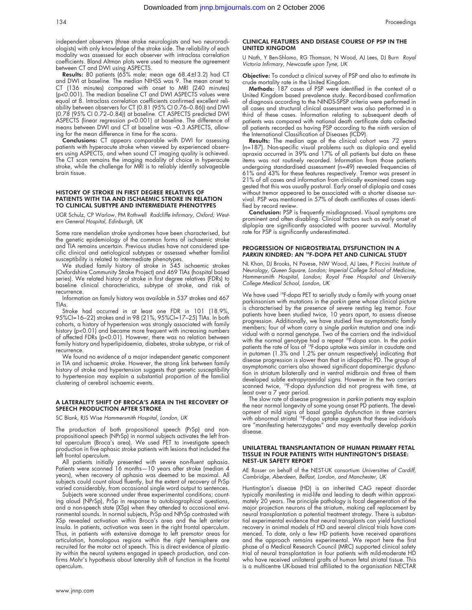independent observers (three stroke neurologists and two neuroradiologists) with only knowledge of the stroke side. The reliability of each modality was assessed for each observer with intraclass correlation coefficients. Bland Altman plots were used to measure the agreement between CT and DWI using ASPECTS.

Results: 80 patients (65% male; mean age 68.4±13.2) had CT and DWI at baseline. The median NIHSS was 9. The mean onset to CT (136 minutes) compared with onset to MRI (240 minutes) (p<0.001). The median baseline CT and DWI ASPECTS values were equal at 8. Intraclass correlation coefficients confirmed excellent reliability between observers for CT (0.81 (95% CI 0.76–0.86)) and DWI (0.78 (95% CI 0.72–0.84)) at baseline. CT ASPECTS predicted DWI ASPECTS (linear regression p<0.001) at baseline. The difference of means between DWI and CT at baseline was −0.3 ASPECTS, allowing for the mean difference in time for the scans.

Conclusions: CT appears comparable with DWI for assessing patients with hyperacute stroke when viewed by experienced observers using ASPECTS, and when sound CT imaging quality is achieved. The CT scan remains the imaging modality of choice in hyperacute stroke, while the challenge for MRI is to reliably identify salvageable brain tissue.

### HISTORY OF STROKE IN FIRST DEGREE RELATIVES OF PATIENTS WITH TIA AND ISCHAEMIC STROKE IN RELATION TO CLINICAL SUBTYPE AND INTERMEDIATE PHENOTYPES

UGR Schulz, CP Warlow, PM Rothwell Radcliffe Infirmary, Oxford; Western General Hospital, Edinburgh, UK

Some rare mendelian stroke syndromes have been characterised, but the genetic epidemiology of the common forms of ischaemic stroke and TIA remains uncertain. Previous studies have not considered specific clinical and aetiological subtypes or assessed whether familial susceptibility is related to intermediate phenotypes.

We studied family history of stroke in 545 ischaemic strokes (Oxfordshire Community Stroke Project) and 469 TIAs (hospital based series). We related history of stroke in first degree relatives (FDRs) to baseline clinical characteristics, subtype of stroke, and risk of recurrence.

Information on family history was available in 537 strokes and 467 TIAs.

Stroke had occurred in at least one FDR in 101 (18.9%, 95%CI=16–22) strokes and in 98 (21%, 95%CI=17–25) TIAs. In both cohorts, a history of hypertension was strongly associated with family history (p<0.01) and became more frequent with increasing numbers of affected FDRs (p<0.01). However, there was no relation between family history and hyperlipidaemia, diabetes, stroke subtype, or risk of recurrence.

We found no evidence of a major independent genetic component in TIA and ischaemic stroke. However, the strong link between family history of stroke and hypertension suggests that genetic susceptibility to hypertension may explain a substantial proportion of the familial clustering of cerebral ischaemic events.

# A LATERALITY SHIFT OF BROCA'S AREA IN THE RECOVERY OF SPEECH PRODUCTION AFTER STROKE

SC Blank, RJS Wise Hammersmith Hospital, London, UK

The production of both propositional speech (PrSp) and nonpropositional speech (NPrSp) in normal subjects activates the left frontal operculum (Broca's area). We used PET to investigate speech production in five aphasic stroke patients with lesions that included the left frontal operculum.

All patients initially presented with severe non-fluent aphasia. Patients were scanned 16 months—10 years after stroke (median 4 years), when recovery of aphasia was deemed to be maximal. All subjects could count aloud fluently, but the extent of recovery of PrSp varied considerably, from occasional single word output to sentences.

Subjects were scanned under three experimental conditions; counting aloud (NPrSp), PrSp in response to autobiographical questions, and a non-speech state (XSp) when they attended to occasional environmental sounds. In normal subjects, PrSp and NPrSp contrasted with XSp revealed activation within Broca's area and the left anterior insula. In patients, activation was seen in the right frontal operculum. Thus, in patients with extensive damage to left premotor areas for articulation, homologous regions within the right hemisphere are recruited for the motor act of speech. This is direct evidence of plasticity within the neural systems engaged in speech production, and confirms Mohr's hypothesis about laterality shift of function in the frontal operculum.

# CLINICAL FEATURES AND DISEASE COURSE OF PSP IN THE UNITED KINGDOM

U Nath, Y Ben-Shlomo, RG Thomson, N Wood, AJ Lees, DJ Burn Royal Victoria Infirmary, Newcastle upon Tyne, UK

Objective: To conduct a clinical survey of PSP and also to estimate its crude mortality rate in the United Kingdom.

Methods: 187 cases of PSP were identified in the context of a United Kingdom based prevalence study. Record-based confirmation of diagnosis according to the NINDS-SPSP criteria were performed in all cases and structural clinical assessment was also performed in a third of these cases. Information relating to subsequent death of patients was compared with national death certificate data collected all patients recorded as having PSP according to the ninth version of the International Classification of Diseases (ICD9).

Results: The median age of the clinical cohort was 72 years (n=187). Non-specific visual problems such as diplopia and eyelid apraxia occurred in 39% and 17% of all patients but data on these items was not routinely recorded. Information from those patients undergoing standardised assessment (n=49) revealed frequencies of 61% and 43% for these features respectively. Tremor was present in 21% of all cases and information from clinically examined cases suggested that this was usually postural. Early onset of diplopia and cases without tremor appeared to be associated with a shorter disease survival. PSP was mentioned in 57% of death certificates of cases identified by record review.

Conclusion: PSP is frequently misdiagnosed. Visual symptoms are prominent and often disabling. Clinical factors such as early onset of diplopia are significantly associated with poorer survival. Mortality rate for PSP is significantly underestimated.

# PROGRESSION OF NIGROSTRIATAL DYSFUNCTION IN A PARKIN KINDRED: AN <sup>18</sup>F-DOPA PET AND CLINICAL STUDY

NL Khan, DJ Brooks, N Pavese, NW Wood, AJ Lees, P Piccini Institute of Neurology, Queen Square, London; Imperial College School of Medicine, Hammersmith Hospital, London; Royal Free Hospital and University College Medical School, London, UK

We have used <sup>18</sup>F-dopa PET to serially study a family with young onset parkinsonism with mutations in the parkin gene whose clinical picture is characterised by the presence of severe resting leg tremor. Four patients have been studied twice, 10 years apart, to assess disease progression. Additionally, we have studied five asymptomatic family members; four of whom carry a single parkin mutation and one individual with a normal genotype. Two of the carriers and the individual<br>with the normal genotype had a repeat '<sup>8</sup>F-dopa scan. In the *parkin* patients the rate of loss of 18F-dopa uptake was similar in caudate and in putamen (1.3% and 1.2% per annum respectively) indicating that disease progression is slower than that in idiopathic PD. The group of asymptomatic carriers also showed significant dopaminergic dysfunction in striatum bilaterally and in ventral midbrain and three of them developed subtle extrapyramidal signs. However in the two carriers scanned twice, <sup>18</sup>F-dopa dysfunction did not progress with time, at least over a 7 year period.

The slow rate of disease progression in parkin patients may explain the near normal longevity of some young onset PD patients. The development of mild signs of basal ganglia dysfunction in three carriers with abnormal striatal <sup>18</sup>F-dopa uptake suggests that these individuals are "manifesting heterozygotes" and may eventually develop parkin disease.

# UNILATERAL TRANSPLANTATION OF HUMAN PRIMARY FETAL TISSUE IN FOUR PATIENTS WITH HUNTINGTON'S DISEASE: NEST-UK SAFETY REPORT

AE Rosser on behalf of the NEST-UK consortium Universities of Cardiff, Cambridge, Aberdeen, Belfast, London, and Manchester, UK

Huntington's disease (HD) is an inherited CAG repeat disorder typically manifesting in mid-life and leading to death within approximately 20 years. The principle pathology is focal degeneration of the major projection neurons of the striatum, making cell replacement by neural transplantation a potential treatment strategy. There is substantial experimental evidence that neural transplants can yield functional recovery in animal models of HD and several clinical trials have commenced. To date, only a few HD patients have received operations and the approach remains experimental. We report here the first phase of a Medical Research Council (MRC) supported clinical safety trial of neural transplantation in four patients with mild-moderate HD who have received unilateral grafts of human fetal striatal tissue. This is a multicentre UK-based trial affiliated to the organisation NECTAR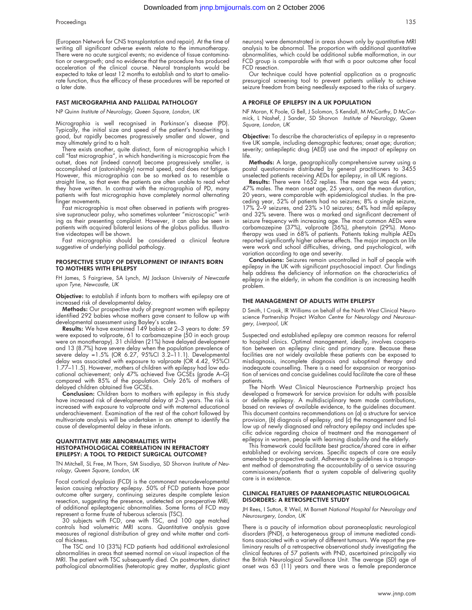(European Network for CNS transplantation and repair). At the time of writing all significant adverse events relate to the immunotherapy. There were no acute surgical events; no evidence of tissue contamination or overgrowth; and no evidence that the procedure has produced acceleration of the clinical course. Neural transplants would be expected to take at least 12 months to establish and to start to ameliorate function, thus the efficacy of these procedures will be reported at a later date.

### FAST MICROGRAPHIA AND PALLIDAL PATHOLOGY

NP Quinn Institute of Neurology, Queen Square, London, UK

Micrographia is well recognised in Parkinson's disease (PD). Typically, the initial size and speed of the patient's handwriting is good, but rapidly becomes progressively smaller and slower, and may ultimately grind to a halt.

There exists another, quite distinct, form of micrographia which I call "fast micrographia", in which handwriting is microscopic from the outset, does not (indeed cannot) become progressively smaller, is accomplished at (astonishingly) normal speed, and does not fatigue. However, this micrographia can be so marked as to resemble a straight line, so that even the patients are often unable to read what they have written. In contrast with the micrographia of PD, many patients with fast micrographia have completely normal alternating finger movements.

Fast micrographia is most often observed in patients with progressive supranuclear palsy, who sometimes volunteer "microscopic" writing as their presenting complaint. However, it can also be seen in patients with acquired bilateral lesions of the globus pallidus. Illustrative videotapes will be shown.

Fast micrographia should be considered a clinical feature suggestive of underlying pallidal pathology.

# PROSPECTIVE STUDY OF DEVELOPMENT OF INFANTS BORN TO MOTHERS WITH EPILEPSY

FH James, S Fairgrieve, SA Lynch, MJ Jackson University of Newcastle upon Tyne, Newcastle, UK

Objective: to establish if infants born to mothers with epilepsy are at increased risk of developmental delay.

**Methods:** Our prospective study of pregnant women with epilepsy identified 292 babies whose mothers gave consent to follow up with

developmental assessment using Bayley's scales.<br>**Results:** We have examined 149 babies at 2–3 years to date: 59 were exposed to valproate, 61 to carbamazepine (50 in each group were on monotherapy). 31 children (21%) have delayed development and 13 (8.7%) have severe delay when the population prevalence of severe delay =1.5% (OR 6.27, 95%CI 3.2–11.1). Developmental delay was associated with exposure to valproate (OR 4.42, 95%CI 1.77–11.5). However, mothers of children with epilepsy had low educational achievement; only 47% achieved five GCSEs (grade A-G) compared with 85% of the population. Only 26% of mothers of delayed children obtained five GCSEs.

Conclusion: Children born to mothers with epilepsy in this study have increased risk of developmental delay at 2–3 years. The risk is increased with exposure to valproate and with maternal educational underachievement. Examination of the rest of the cohort followed by multivariate analysis will be undertaken in an attempt to identify the cause of developmental delay in these infants.

# QUANTITATIVE MRI ABNORMALITIES WITH HISTOPATHOLOGICAL CORRELATION IN REFRACTORY EPILEPSY: A TOOL TO PREDICT SURGICAL OUTCOME?

TN Mitchell, SL Free, M Thorn, SM Sisodiya, SD Shorvon Institute of Neurology, Queen Square, London, UK

Focal cortical dysplasia (FCD) is the commonest neurodevelopmental lesion causing refractory epilepsy. 50% of FCD patients have poor outcome after surgery, continuing seizures despite complete lesion resection, suggesting the presence, undetected on preoperative MRI, of additional epileptogenic abnormalities. Some forms of FCD may represent a forme fruste of tuberous sclerosis (TSC).

30 subjects with FCD, one with TSC, and 100 age matched controls had volumetric MRI scans. Quantitative analysis gave measures of regional distribution of grey and white matter and cortical thickness.

The TSC and 10 (33%) FCD patients had additional extralesional abnormalities in areas that seemed normal on visual inspection of the MRI. The patient with TSC subsequently died. On postmortem, distinct pathological abnormalities (heterotopic grey matter, dysplastic giant

neurons) were demonstrated in areas shown only by quantitative MRI analysis to be abnormal. The proportion with additional quantitative abnormalities, which could be additional subtle malformation, in our FCD group is comparable with that with a poor outcome after focal FCD resection.

Our technique could have potential application as a prognostic presurgical screening tool to prevent patients unlikely to achieve seizure freedom from being needlessly exposed to the risks of surgery.

### A PROFILE OF EPILEPSY IN A UK POPULATION

NF Moran, K Poole, G Bell, J Solomon, S Kendall, M McCarthy, D McCormick, L Nashef, J Sander, SD Shorvon Institute of Neurology, Queen Square, London, UK

Objective: To describe the characteristics of epilepsy in a representative UK sample, including demographic features; onset age; duration; severity; antiepileptic drug (AED) use and the impact of epilepsy on

life.<br>Methods: A large, geographically comprehensive survey using a postal questionnaire distributed by general practitioners to 3455 unselected patients receiving AEDs for epilepsy, in all UK regions.

Results: There were 1652 replies. The mean age was 44 years; 47% males. The mean onset age, 25 years, and the mean duration, 20 years, were comparable with epidemiological studies. In the preceding year, 52% of patients had no seizures; 8% a single seizure, 17% 2–9 seizures, and 23% >10 seizures; 64% had mild epilepsy and 32% severe. There was a marked and significant decrement of seizure frequency with increasing age. The most common AEDs were carbamazepine (37%), valproate (36%), phenytoin (29%). Monotherapy was used in 68% of patients. Patients taking multiple AEDs reported significantly higher adverse effects. The major impacts on life were work and school difficulties, driving, and psychological, with variation according to age and severity.

Conclusions: Seizures remain uncontrolled in half of people with epilepsy in the UK with significant psychosocial impact. Our findings help address the deficiency of information on the characteristics of epilepsy in the elderly, in whom the condition is an increasing health problem.

# THE MANAGEMENT OF ADULTS WITH EPILEPSY

D Smith, I Crook, IR Williams on behalf of the North West Clinical Neuroscience Partnership Project Walton Centre for Neurology and Neurosurgery, Liverpool, UK

Suspected and established epilepsy are common reasons for referral to hospital clinics. Optimal management, ideally, involves cooperation between an epilepsy clinic and primary care. Because these facilities are not widely available these patients can be exposed to misdiagnosis, incomplete diagnosis and suboptimal therapy and inadequate counselling. There is a need for expansion or reorganisation of services and concise guidelines could facilitate the care of these patients.

The North West Clinical Neuroscience Partnership project has developed a framework for service provision for adults with possible or definite epilepsy. A multidisciplinary team made contributions, based on reviews of available evidence, to the guidelines document. This document contains recommendations on (a) a structure for service provision, (b) diagnosis of epilepsy, and (c) the management and follow up of newly diagnosed and refractory epilepsy and includes specific advice regarding choice of treatment and the management of epilepsy in women, people with learning disability and the elderly.

This framework could facilitate best practice/shared care in either established or evolving services. Specific aspects of care are easily amenable to prospective audit. Adherence to guidelines is a transparent method of demonstrating the accountability of a service assuring commissioners/patients that a system capable of delivering quality care is in existence.

## CLINICAL FEATURES OF PARANEOPLASTIC NEUROLOGICAL DISORDERS: A RETROSPECTIVE STUDY

JH Rees, I Sutton, R Weil, M Barnett National Hospital for Neurology and Neurosurgery, London, UK

There is a paucity of information about paraneoplastic neurological disorders (PND), a heterogeneous group of immune mediated conditions associated with a variety of different tumours. We report the preliminary results of a retrospective observational study investigating the clinical features of 57 patients with PND, ascertained principally via the British Neurological Surveillance Unit. The average (SD) age of onset was 63 (11) years and there was a female preponderance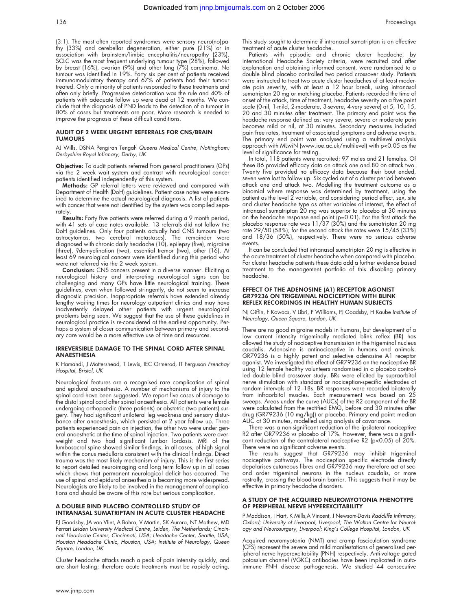(3:1). The most often reported syndromes were sensory neuro(no)pathy (33%) and cerebellar degeneration, either pure (21%) or in association with brainstem/limbic encephalitis/neuropathy (23%). SCLC was the most frequent underlying tumour type (28%), followed by breast (16%), ovarian (9%) and other lung (7%) carcinoma. No tumour was identified in 19%. Forty six per cent of patients received immunomodulatory therapy and 67% of patients had their tumour treated. Only a minority of patients responded to these treatments and often only briefly. Progressive deterioration was the rule and 40% of patients with adequate follow up were dead at 12 months. We conclude that the diagnosis of PND leads to the detection of a tumour in 80% of cases but treatments are poor. More research is needed to improve the prognosis of these difficult conditions.

# AUDIT OF 2 WEEK URGENT REFERRALS FOR CNS/BRAIN **TUMOURS**

AJ Wills, DSNA Pengiran Tengah Queens Medical Centre, Nottingham; Derbyshire Royal Infirmary, Derby, UK

Objective: To audit patients referred from general practitioners (GPs) via the 2 week wait system and contrast with neurological cancer patients identified independently of this system.

Methods: GP referral letters were reviewed and compared with Department of Health (DoH) guidelines. Patient case notes were examined to determine the actual neurological diagnosis. A list of patients with cancer that were not identified by the system was compiled separately.

Results: Forty five patients were referred during a 9 month period, with 41 sets of case notes available. 13 referrals did not follow the DoH guidelines. Only four patients actually had CNS tumours (two astrocytomas, two cerebral metastases). The remainder were diagnosed with chronic daily headache (10), epilepsy (five), migraine (three), ?demyelination (two), essential tremor (two), other (16). At least 69 neurological cancers were identified during this period who were not referred via the 2 week system.

Conclusion: CNS cancers present in a diverse manner. Eliciting a neurological history and interpreting neurological signs can be challenging and many GPs have little neurological training. These guidelines, even when followed stringently, do not seem to increase diagnostic precision. Inappropriate referrals have extended already lengthy waiting times for neurology outpatient clinics and may have inadvertently delayed other patients with urgent neurological problems being seen. We suggest that the use of these guidelines in neurological practice is re-considered at the earliest opportunity. Perhaps a system of closer communication between primary and secondary care would be a more effective use of time and resources.

## IRREVERSIBLE DAMAGE TO THE SPINAL CORD AFTER SPINAL ANAESTHESIA

K Hamandi, J Mottershead, T Lewis, IEC Ormerod, IT Ferguson Frenchay Hospital, Bristol, UK

Neurological features are a recognised rare complication of spinal and epidural anaesthesia. A number of mechanisms of injury to the spinal cord have been suggested. We report five cases of damage to the distal spinal cord after spinal anaesthesia. All patients were female undergoing orthopaedic (three patients) or obstetric (two patients) surgery. They had significant unilateral leg weakness and sensory disturbance after anaesthesia, which persisted at 2 year follow up. Three patients experienced pain on injection, the other two were under general anaesthetic at the time of spinal injection. Two patients were overweight and two had significant lumbar lordosis. MRI of the lumbosacral spine showed similar findings, in all cases, of high signal within the conus medullaris consistent with the clinical findings. Direct trauma was the most likely mechanism of injury. This is the first series to report detailed neuroimaging and long term follow up in all cases which shows that permanent neurological deficit has occurred. The use of spinal and epidural anaesthesia is becoming more widespread. Neurologists are likely to be involved in the management of complications and should be aware of this rare but serious complication.

# A DOUBLE BIND PLACEBO CONTROLLED STUDY OF INTRANASAL SUMATRIPTAN IN ACUTE CLUSTER HEADACHE

PJ Goadsby, JA van Vliet, A Bahra, V Martin, SK Aurora, NT Mathew, MD Ferrari Leiden University Medical Centre, Leiden, The Netherlands; Cincinnati Headache Center, Cincinnati, USA; Headache Center, Seattle, USA; Houston Headache Clinic, Houston, USA; Institute of Neurology, Queen Square, London, UK

Cluster headache attacks reach a peak of pain intensity quickly, and are short lasting; therefore acute treatments must be rapidly acting.

This study sought to determine if intranasal sumatriptan is an effective treatment of acute cluster headache.

Patients with episodic and chronic cluster headache, by International Headache Society criteria, were recruited and after explanation and obtaining informed consent, were randomised to a double blind placebo controlled two period crossover study. Patients were instructed to treat two acute cluster headaches of at least moderate pain severity, with at least a 12 hour break, using intranasal sumatriptan 20 mg or matching placebo. Patients recorded the time of onset of the attack, time of treatment, headache severity on a five point scale (0-nil, 1-mild, 2-moderate, 3-severe, 4-very severe) at 5, 10, 15, 20 and 30 minutes after treatment. The primary end point was the headache response defined as: very severe, severe or moderate pain becomes mild or nil, at 30 minutes. Secondary measures included pain free rates, treatment of associated symptoms and adverse events. The primary end point was analysed using a multilevel analysis approach with MLwiN (www.ioe.ac.uk/multilevel) with p<0.05 as the level of significance for testing.

In total, 118 patients were recruited; 97 males and 21 females. Of these 86 provided efficacy data on attack one and 80 on attack two. Twenty five provided no efficacy data because their bout ended, seven were lost to follow up. Six cycled out of a cluster period between attack one and attack two. Modelling the treatment outcome as a binomial where response was determined by treatment, using the patient as the level 2 variable, and considering period effect, sex, site and cluster headache type as other variables of interest, the effect of intranasal sumatriptan 20 mg was superior to placebo at 30 minutes on the headache response end point (p=0.01). For the first attack the placebo response rate was 11/37 (30%) and the sumatriptan 20 mg rate 29/50 (58%); for the second attack the rates were 15/45 (33%) and 18/36 (50%), respectively. There were no serious adverse events.

It can be concluded that intranasal sumatriptan 20 mg is effective in the acute treatment of cluster headache when compared with placebo. For cluster headache patients these data add a further evidence based treatment to the management portfolio of this disabling primary headache.

### EFFECT OF THE ADENOSINE (A1) RECEPTOR AGONIST GR79236 ON TRIGEMINAL NOCICEPTION WITH BLINK REFLEX RECORDINGS IN HEALTHY HUMAN SUBJECTS

NJ Giffin, F Kowacs, V Libri, P Williams, PJ Goadsby, H Kaube Institute of Neurology, Queen Square, London, UK

There are no good migraine models in humans, but development of a low current intensity trigeminally mediated blink reflex (BR) has allowed the study of nociceptive transmission in the trigeminal nucleus caudalis. Adenosine is antinociceptive in humans and animals. GR79236 is a highly potent and selective adenosine A1 receptor agonist. We investigated the effect of GR79236 on the nociceptive BR using 12 female healthy volunteers randomised in a placebo controlled double blind crossover study. BRs were elicited by supraorbital nerve stimulation with standard or nociception-specific electrodes at random intervals of 12–18s. BR responses were recorded bilaterally from infraorbital muscles. Each measurement was based on 25 sweeps. Areas under the curve (AUCs) of the R2 component of the BR were calculated from the rectified EMG, before and 30 minutes after drug (GR79236 (10 mg/kg)) or placebo. Primary end point: median AUC at 30 minutes, modelled using analysis of covariance.

There was a non-significant reduction of the ipsilateral nociceptive R2 after GR79236 vs placebo of 17%. However, there was a significant reduction of the contralateral nociceptive R2 (p<0.05) of 20%. There were no significant adverse events.

The results suggest that GR79236 may inhibit trigeminal nociceptive pathways. The nociception specific electrode directly depolarises cutaneous fibres and GR79236 may therefore act at second order trigeminal neurons in the nucleus caudalis, or more rostrally, crossing the blood-brain barrier. This suggests that it may be effective in primary headache disorders.

# A STUDY OF THE ACQUIRED NEUROMYOTONIA PHENOTYPE OF PERIPHERAL NERVE HYPEREXCITABILITY

P Maddison, I Hart, K Mills,A Vincent, J Newsom-Davis Radcliffe Infirmary, Oxford; University of Liverpool, Liverpool; The Walton Centre for Neurology and Neurosurgery, Liverpool; King's College Hospital, London, UK

Acquired neuromyotonia (NMT) and cramp fasciculation syndrome (CFS) represent the severe and mild manifestations of generalised peripheral nerve hyperexcitability (PNH) respectively. Anti-voltage gated potassium channel (VGKC) antibodies have been implicated in autoimmune PNH disease pathogenesis. We studied 44 consecutive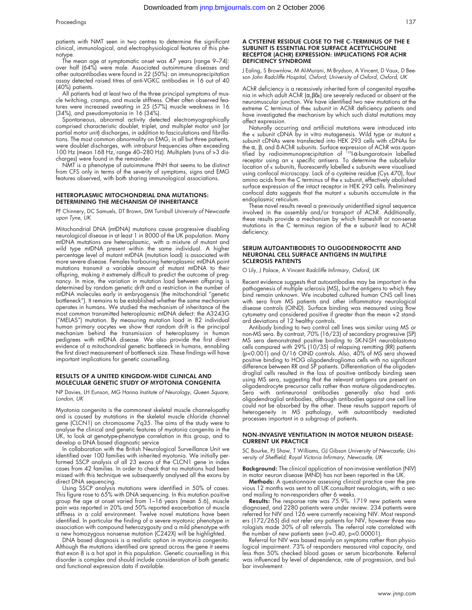patients with NMT seen in two centres to determine the significant clinical, immunological, and electrophysiological features of this phenotype.

The mean age at symptomatic onset was 47 years (range 9–74): over half (64%) were male. Associated autoimmune diseases and other autoantibodies were found in 22 (50%): an immunoprecipitation assay detected raised titres of anti-VGKC antibodies in 16 out of 40 (40%) patients.

All patients had at least two of the three principal symptoms of muscle twitching, cramps, and muscle stiffness. Other often observed features were increased sweating in 25 (57%) muscle weakness in 16 (34%), and pseudomyotonia in 16 (34%).

Spontaneous, abnormal activity detected electromyographically comprised characteristic doublet, triplet, and multiplet motor unit (or partial motor unit) discharges, in addition to fasciculations and fibrillations. The most common abnormality on EMG, in all but three patients, were doublet discharges, with intraburst frequencies often exceeding 100 Hz (mean 168 Hz, range 40–280 Hz). Multiplets (runs of >3 discharges) were found in the remainder.

NMT is a phenotype of autoimmune PNH that seems to be distinct from CFS only in terms of the severity of symptoms, signs and EMG features observed, with both sharing immunological associations.

# HETEROPLASMIC MITOCHONDRIAL DNA MUTATIONS: DETERMINING THE MECHANISM OF INHERITANCE

PF Chinnery, DC Samuels, DT Brown, DM Turnbull University of Newcastle upon Tyne, UK

Mitochondrial DNA (mtDNA) mutations cause progressive disabling neurological disease in at least 1 in 8000 of the UK population. Many mtDNA mutations are heteroplasmic, with a mixture of mutant and wild type mtDNA present within the same individual. A higher percentage level of mutant mtDNA (mutation load) is associated with more severe disease. Females harbouring heteroplasmic mtDNA point mutations transmit a variable amount of mutant mtDNA to their offspring, making it extremely difficult to predict the outcome of pregnancy. In mice, the variation in mutation load between offspring is determined by random genetic drift and a restriction in the number of mtDNA molecules early in embryogensis (the mitochondrial "genetic bottleneck"). It remains to be established whether the same mechanism operates in humans. We studied the mechanism of inheritance of the most common transmitted heteroplasmic mtDNA defect: the A3243G ("MELAS") mutation. By measuring mutation load in 82 individual human primary oocytes we show that random drift is the principal mechanism behind the transmission of heteroplasmy in human pedigrees with mtDNA disease. We also provide the first direct evidence of a mitochondrial genetic bottleneck in humans, ennabling the first direct measurement of bottleneck size. These findings will have important implications for genetic counselling.

# RESULTS OF A UNITED KINGDOM-WIDE CLINICAL AND MOLECULAR GENETIC STUDY OF MYOTONIA CONGENITA

NP Davies, LH Eunson, MG Hanna Institute of Neurology, Queen Square, London, UK

Myotonia congenita is the commonest skeletal muscle channelopathy and is caused by mutations in the skeletal muscle chloride channel gene (CLCN1) on chromosome 7q35. The aims of the study were to analyse the clinical and genetic features of myotonia congenita in the UK, to look at genotype-phenotype correlation in this group, and to develop a DNA based diagnostic service

In collaboration with the British Neurological Surveillance Unit we identified over 100 families with inherited myotonia. We initially performed SSCP analysis of all 23 exons of the CLCN1 gene in index cases from 42 families. In order to check that no mutations had been missed with this technique we subsequently analysed all the exons by direct DNA sequencing.

Using SSCP analysis mutations were identified in 50% of cases. This figure rose to 65% with DNA sequencing. In this mutation positive group the age at onset varied from 1–16 years (mean 5.6), muscle pain was reported in 20% and 50% reported exacerbation of muscle stiffness in a cold environment. Twelve novel mutations have been identified. In particular the finding of a severe myotonic phenotype in association with compound heterozygosity and a mild phenotype with a new homozygous nonsense mutation (C242X) will be highlighted.

DNA based diagnosis is a realistic option in myotonia congenita. Although the mutations identified are spread across the gene it seems that exon 8 is a hot spot in this population. Genetic counselling in this disorder is complex and should include consideration of both genetic and functional expression data if available.

# A CYSTEINE RESIDUE CLOSE TO THE C-TERMINUS OF THE E SUBUNIT IS ESSENTIAL FOR SURFACE ACETYLCHOLINE RECEPTOR (ACHR) EXPRESSION: IMPLICATIONS FOR ACHR DEFICIENCY SYNDROME

J Ealing, S Brownlow, M Al-Murani, M Brydson, A Vincent, D Vaux, D Beeson John Radcliffe Hospital, Oxford; University of Oxford, Oxford, UK

AChR deficiency is a recessively inherited form of congenital myasthenia in which adult AChR ( $\alpha_2\beta\delta\epsilon$ ) are severely reduced or absent at the neuromuscular junction. We have identified two new mutations at the extreme C terminus of thee subunit in AChR deficiency patients and have investigated the mechanism by which such distal mutations may affect expression.

Naturally occurring and artificial mutations were introduced into the  $\epsilon$  subunit cDNA by in vitro mutagenesis. Wild type or mutant  $\epsilon$ subunit cDNAs were transfected into HEK 293 cells with cDNAs for the α, β, and δ AChR subunits. Surface expression of AChR was quantified by radioimmunoprecipitation of 125I-α-bungarotoxin labelled receptor using an e specific antisera. To determine the subcellular location of  $\epsilon$  subunits, fluorescently labelled  $\epsilon$  subunits were visualised using confocal microscopy. Lack of a cysteine residue (Cys 470), four amino acids from the C terminus of the e subunit, effectively abolished surface expression of the intact receptor in HEK 293 cells. Preliminary confocal data suggests that the mutant  $\epsilon$  subunits accumulate in the endoplasmic reticulum.

These novel results reveal a previously unidentified signal sequence involved in the assembly and/or transport of AChR. Additionally, these results provide a mechanism by which frameshift or non-sense mutations in the C terminus region of the e subunit lead to AChR deficiency.

# SERUM AUTOANTIBODIES TO OLIGODENDROCYTE AND NEURONAL CELL SURFACE ANTIGENS IN MULTIPLE SCLEROSIS PATIENTS

O Lily, J Palace, A Vincent Radcliffe Infirmary, Oxford, UK

Recent evidence suggests that autoantibodies may be important in the pathogenesis of multiple sclerosis (MS), but the antigens to which they bind remain unknown. We incubated cultured human CNS cell lines with sera from MS patients and other inflammatory neurological disease controls (OIND). Surface binding was measured using flow cytometry and considered positive if greater than the mean +2 standard deviations of 12 healthy controls.

Antibody binding to two control cell lines was similar using MS or non-MS sera. By contrast, 70% (16/23) of secondary progressive (SP) MS sera demonstrated positive binding to SK-N-SH neuroblastoma cells compared with 29% (10/35) of relapsing remitting (RR) patients (p<0.001) and 0/16 OIND controls. Also, 40% of MS sera showed positive binding to HOG oligodendroglioma cells with no significant difference between RR and SP patients. Differentiation of the oligodendroglial cells resulted in the loss of positive antibody binding seen using MS sera, suggesting that the relevant antigens are present on oligodendrocyte precursor cells rather than mature oligodendrocytes. Sera with antineuronal antibodies generally also had antioligodendroglial antibodies, although antibodies against one cell line could not be absorbed by the other. These results support reports of heterogeneity in MS pathology, with autoantibody mediated processes important in a subgroup of patients.

# NON-INVASIVE VENTILATION IN MOTOR NEURON DISEASE: CURRENT UK PRACTICE

SC Bourke, PJ Shaw, T Williams, GJ Gibson University of Newcastle; University of Sheffield; Royal Victoria Infirmary, Newcastle, UK

Background: The clinical application of non-invasive ventilation (NIV) in motor neuron disease (MND) has not been reported in the UK.

Methods: A questionnaire assessing clinical practice over the previous 12 months was sent to all UK consultant neurologists, with a second mailing to non-responders after 6 weeks.

Results: The response rate was 75.9%. 1719 new patients were diagnosed, and 2280 patients were under review. 234 patients were referred for NIV and 126 were currently receiving NIV. Most responders (172/265) did not refer any patients for NIV, however three neurologists made 30% of all referrals. The referral rate correlated with the number of new patients seen (r=0.40, p<0.00001).

Referral for NIV was based mainly on symptoms rather than physiological impairment. 73% of responders measured vital capacity, and less than 50% checked blood gases or serum bicarbonate. Referral was influenced by level of dependence, rate of progression, and bulbar involvement.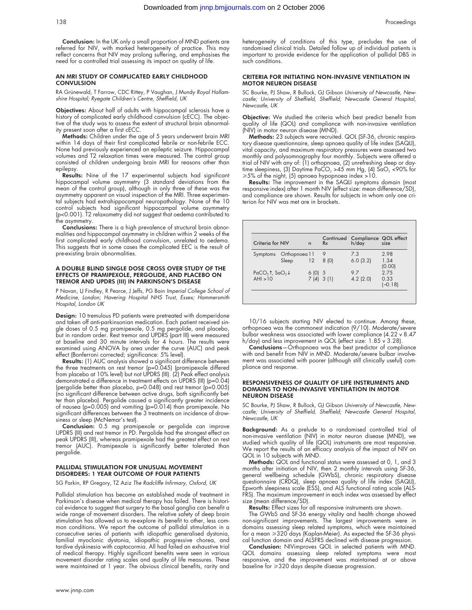Conclusion: In the UK only a small proportion of MND patients are referred for NIV, with marked heterogeneity of practice. This may reflect concerns that NIV may prolong suffering, and emphasises the need for a controlled trial assessing its impact on quality of life.

# AN MRI STUDY OF COMPLICATED EARLY CHILDHOOD **CONVULSION**

RA Grünewald, T Farrow, CDC Rittey, P Vaughan, J Mundy Royal Hallamshire Hospital; Ryegate Children's Centre, Sheffield, UK

Objectives: About half of adults with hippocampal sclerosis have a history of complicated early childhood convulsion (cECC). The objective of the study was to assess the extent of structural brain abnormality present soon after a first cECC.

Methods: Children under the age of 5 years underwent brain MRI within 14 days of their first complicated febrile or non-febrile ECC. None had previously experienced an epileptic seizure. Hippocampal volumes and T2 relaxation times were measured. The control group consisted of children undergoing brain MRI for reasons other than epilepsy.

Results: Nine of the 17 experimental subjects had significant hippocampal volume asymmetry (3 standard deviations from the mean of the control group), although in only three of these was the asymmetry apparent on visual inspection of the MRI. Three experimental subjects had extrahippocampal neuropathology. None of the 10 control subjects had significant hippocampal volume asymmetry (p<0.001). T2 relaxometry did not suggest that oedema contributed to the asymmetry.

Conclusions: There is a high prevalence of structural brain abnormalities and hippocampal asymmetry in children within 2 weeks of the first complicated early childhood convulsion, unrelated to oedema. This suggests that in some cases the complicated EEC is the result of pre-existing brain abnormalities.

# A DOUBLE BLIND SINGLE DOSE CROSS OVER STUDY OF THE EFFECTS OF PRAMIPEXOLE, PERGOLIDE, AND PLACEBO ON TREMOR AND UPDRS (III) IN PARKINSON'S DISEASE

P Navan, LJ Findley, R Pearce, J Jeffs, PG Bain Imperial College School of Medicine, London; Havering Hospital NHS Trust, Essex; Hammersmith Hospital, London UK

Design: 10 tremulous PD patients were pretreated with domperidone and taken off anti-parkinsonian medication. Each patient received single doses of 0.5 mg pramipexole, 0.5 mg pergolide, and placebo, but in random order. Rest tremor and UPDRS (part III) were measured at baseline and 30 minute intervals for 4 hours. The results were examined using ANOVA by area under the curve (AUC) and peak effect (Bonferroni corrected; significance: 5% level).

Results: (1) AUC analysis showed a significant difference between the three treatments on rest tremor (p=0.045) (pramipexole differed from placebo at 10% level) but not UPDRS (III). (2) Peak effect analysis demonstrated a difference in treatment effects on UPDRS (III) (p=0.04) (pergolide better than placebo, p=0.048) and rest tremor (p=0.005) (no significant difference between active drugs, both significantly better than placebo). Pergolide caused a significantly greater incidence of nausea (p=0.005) and vomiting (p=0.014) than pramipexole. No significant differences between the 3 treatments on incidence of drowsiness or sleep (McNemar's test).

Conclusion: 0.5 mg pramipexole or pergolide can improve UPDRS (III) and rest tremor in PD. Pergolide had the strongest effect on peak UPDRS (III), whereas pramipexole had the greatest effect on rest tremor (AUC). Pramipexole is significantly better tolerated than pergolide.

# PALLIDAL STIMULATION FOR UNUSUAL MOVEMENT DISORDERS: 1 YEAR OUTCOME OF FOUR PATIENTS

SG Parkin, RP Gregory, TZ Aziz The Radcliffe Infirmary, Oxford, UK

Pallidal stimulation has become an established mode of treatment in Parkinson's disease when medical therapy has failed. There is historical evidence to suggest that surgery to the basal ganglia can benefit a wide range of movement disorders. The relative safety of deep brain stimulation has allowed us to re-explore its benefit to other, less common conditions. We report the outcome of pallidal stimulation in a consecutive series of patients with idiopathic generalised dystonia, familial myoclonic dystonia, idiopathic progressive chorea, and tardive dyskinesia with captocormia. All had failed an exhaustive trial of medical therapy. Highly significant benefits were seen in various movement disorder rating scales and quality of life measures. These were maintained at 1 year. The obvious clinical benefits, rarity and heterogeneity of conditions of this type, precludes the use of randomised clinical trials. Detailed follow up of individual patients is important to provide evidence for the application of pallidal DBS in such conditions.

# CRITERIA FOR INITIATING NON-INVASIVE VENTILATION IN MOTOR NEURON DISEASE

SC Bourke, PJ Shaw, R Bullock, GJ Gibson University of Newcastle, Newcastle; University of Sheffield, Sheffield; Newcastle General Hospital, Newcastle, UK

Objective: We studied the criteria which best predict benefit from quality of life (QOL) and compliance with non-invasive ventilation (NIV) in motor neuron disease (MND).

Methods: 23 subjects were recruited. QOL (SF-36, chronic respiratory disease questionnaire, sleep apnoea quality of life index (SAQLI), vital capacity, and maximum respiratory pressures were assessed two monthly and polysomnography four monthly. Subjects were offered a trial of NIV with any of: (1) orthopnoea, (2) unrefreshing sleep or daytime sleepiness, (3) Daytime PaCO $_2$  >45 mm Hg, (4) SaO $_2$  <90% for  $\geq$  5% of the night, (5) apnoea hypopnoea index >10.

Results: The improvement in the SAQLI symptoms domain (most responsive index) after 1 month NIV (effect size: mean difference/SD), and compliance are shown. Results for subjects in whom only one criterion for NIV was met are in brackets.

| Criteria for NIV                                             |                        | $\mathsf{n}$ | Rx   | Continued Compliance QOL effect<br>$h$ /day | size              |
|--------------------------------------------------------------|------------------------|--------------|------|---------------------------------------------|-------------------|
|                                                              | Symptoms Orthopnoea 11 |              | 9    | 73                                          | 2.98              |
|                                                              | Sleep                  | 12           | 8(0) | 6.0(3.2)                                    | 1.34<br>(0.00)    |
| PaCO <sub>2</sub> $\uparrow$ , SaO <sub>2</sub> $\downarrow$ |                        | $6(0)$ 5     |      | 97                                          | 2.75              |
| AHI > 10                                                     |                        | $7(4)$ 3(1)  |      | 4.2(2.0)                                    | 0.33<br>$[-0.18]$ |

10/16 subjects starting NIV elected to continue. Among these, orthopnoea was the commonest indication (9/10). Moderate/severe bulbar weakness was associated with lower compliance (4.22 v 8.47 h/day) and less improvement in QOL (effect size: 1.85 v 3.28).

Conclusions—Orthopnoea was the best predictor of compliance with and benefit from NIV in MND. Moderate/severe bulbar involvement was associated with poorer (although still clinically useful) compliance and response.

# RESPONSIVENESS OF QUALITY OF LIFE INSTRUMENTS AND DOMAINS TO NON-INVASIVE VENTILATION IN MOTOR NEURON DISEASE

SC Bourke, PJ Shaw, R Bullock, GJ Gibson University of Newcastle, Newcastle; University of Sheffield, Sheffield; Newcastle General Hospital, Newcastle, UK

**Background:** As a prelude to a randomised controlled trial of non-invasive ventilation (NIV) in motor neuron disease (MND), we studied which quality of life (QOL) instruments are most responsive. We report the results of an efficacy analysis of the impact of NIV on QOL in 10 subjects with MND.

Methods: QOL and functional status were assessed at 0, 1, and 3 months after initiation of NIV, then 2 monthly intervals using SF-36, general wellbeing schedule (GWbS), chronic respiratory disease questionnaire (CRDQ), sleep apnoea quality of life index (SAQLI), Epworth sleepiness scale (ESS), and ALS functional rating scale (ALS-FRS). The maximum improvement in each index was assessed by effect size (mean difference/SD).

Results: Effect sizes for all responsive instruments are shown.

The GWbS and SF-36 energy vitality and health change showed non-significant improvements. The largest improvements were in domains assessing sleep related symptoms, which were maintained for a mean >320 days (Kaplan-Meier). As expected the SF-36 physical function domain and ALSFRS declined with disease progression.

Conclusion: NIVimproves QOL in selected patients with MND. QOL domains assessing sleep related symptoms were most responsive, and the improvement was maintained at or above  $b$ aseline for  $\geqslant$  320 days despite disease progression.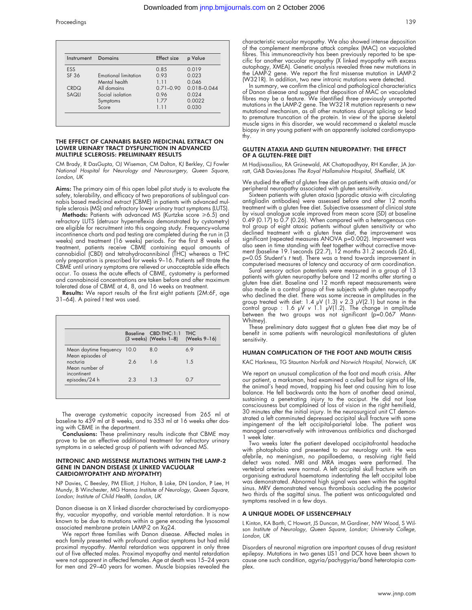| Instrument  | Domains              | <b>Effect</b> size | p Value         |
|-------------|----------------------|--------------------|-----------------|
| <b>ESS</b>  |                      | 0.85               | 0.019           |
| SF 36       | Emotional limitation | 0.93               | 0.023           |
|             | Mental health        | 111                | 0.046           |
| <b>CRDQ</b> | All domains          | $0.71 - 0.90$      | $0.018 - 0.044$ |
| SAQII       | Social isolation     | 0.96               | 0.024           |
|             | Symptoms             | 177                | 0.0022          |
|             | Score                | 111                | 0.030           |

### THE EFFECT OF CANNABIS BASED MEDICINAL EXTRACT ON LOWER URINARY TRACT DYSFUNCTION IN ADVANCED MULTIPLE SCLEROSIS: PRELIMINARY RESULTS

CM Brady, R DasGupta, OJ Wiseman, CM Dalton, KJ Berkley, CJ Fowler National Hospital for Neurology and Neurosurgery, Queen Square, London, UK

Aims: The primary aim of this open label pilot study is to evaluate the safety, tolerability, and efficacy of two preparations of sublingual cannabis based medicinal extract (CBME) in patients with advanced multiple sclerosis (MS) and refractory lower urinary tract symptoms (LUTS).

Methods: Patients with advanced MS (Kurtzke score  $\geq 6.5$ ) and refractory LUTS (detrusor hyperreflexia demonstrated by cystometry) are eligible for recruitment into this ongoing study. Frequency-volume incontinence charts and pad testing are completed during the run in (3 weeks) and treatment (16 weeks) periods. For the first 8 weeks of treatment, patients receive CBME containing equal amounts of cannabidiol (CBD) and tetrahydrocannibinol (THC) whereas a THC only preparation is prescribed for weeks 9–16. Patients self titrate the CBME until urinary symptoms are relieved or unacceptable side effects occur. To assess the acute effects of CBME, cystometry is performed and cannabinoid concentrations are taken before and after maximum tolerated dose of CBME at 4, 8, and 16 weeks on treatment.

Results: We report results of the first eight patients (2M:6F, age 31-64). A paired t test was used.

|                                                 |     | Baseline CBD:THC:1:1<br>(3 weeks) (Weeks 1-8) | <b>THC</b><br>(Weeks 9-16) |
|-------------------------------------------------|-----|-----------------------------------------------|----------------------------|
| Mean daytime frequency 10.0<br>Mean episodes of |     | 8.0                                           | 6.9                        |
| nocturia<br>Mean number of<br>incontinent       | 26  | 16                                            | 1.5                        |
| episodes/24 h                                   | 2.3 | 1 <sub>3</sub>                                | 0.7                        |

The average cystometric capacity increased from 265 ml at baseline to 439 ml at 8 weeks, and to 353 ml at 16 weeks after dosing with CBME in the department.

Conclusions: These preliminary results indicate that CBME may prove to be an effective additional treatment for refractory urinary symptoms in a selected group of patients with advanced MS.

### INTRONIC AND MISSENSE MUTATIONS WITHIN THE LAMP-2 GENE IN DANON DISEASE (X LINKED VACUOLAR CARDIOMYOPATHY AND MYOPATHY)

NP Davies, C Beesley, PM Elliott, J Holton, B Lake, DN Landon, P Lee, H Mundy, B Winchester, MG Hanna Institute of Neurology, Queen Square, London; Institute of Child Health, London, UK

Danon disease is an X linked disorder characterised by cardiomyopathy, vacuolar myopathy, and variable mental retardation. It is now known to be due to mutations within a gene encoding the lysosomal associated membrane protein LAMP-2 on Xq24.

We report three families with Danon disease. Affected males in each family presented with profound cardiac symptoms but had mild proximal myopathy. Mental retardation was apparent in only three out of five affected males. Proximal myopathy and mental retardation were not apparent in affected females. Age at death was 15–24 years for men and 29–40 years for women. Muscle biopsies revealed the

characteristic vacuolar myopathy. We also showed intense deposition of the complement membrane attack complex (MAC) on vacuolated fibres. This immunoreactivity has been previously reported to be specific for another vacuolar myopathy (X linked myopathy with excess autophagy, XMEA). Genetic analysis revealed three new mutations in the LAMP-2 gene. We report the first missense mutation in LAMP-2 (W321R). In addition, two new intronic mutations were detected.

In summary, we confirm the clinical and pathological characteristics of Danon disease and suggest that deposition of MAC on vacuolated fibres may be a feature. We identified three previously unreported mutations in the LAMP-2 gene. The W321R mutation represents a new mutational mechanism, as all other mutations disrupt splicing or lead to premature truncation of the protein. In view of the sparse skeletal muscle signs in this disorder, we would recommend a skeletal muscle biopsy in any young patient with an apparently isolated cardiomyopathy.

# GLUTEN ATAXIA AND GLUTEN NEUROPATHY: THE EFFECT OF A GLUTEN-FREE DIET

M Hadjivassiliou, RA Grünewald, AK Chattopadhyay, RH Kandler, JA Jarratt, GAB Davies-Jones The Royal Hallamshire Hospital, Sheffield, UK

We studied the effect of gluten free diet on patients with ataxia and/or peripheral neuropathy associated with gluten sensitivity.

Sixteen patients with gluten ataxia (sporadic ataxia with circulating antigliadin antibodies) were assessed before and after 12 months treatment with a gluten free diet. Subjective assessment of clinical state by visual analogue scale improved from mean score (SD) at baseline 0.49 (0.17) to 0.7 (0.26). When compared with a heterogenous control group of eight ataxic patients without gluten sensitivity or who declined treatment with a gluten free diet, the improvement was significant (repeated measures ANOVA p=0.002). Improvement was also seen in time standing with feet together without corrective movement (baseline 19.1seconds (22.7), 12 months 31.2 seconds (26.4), p=0.05 Student's <sup>t</sup> test). There was a trend towards improvement in computerised measures of latency and accuracy of arm coordination.

Sural sensory action potentials were measured in a group of 13 patients with gluten neuropathy before and 12 months after starting a gluten free diet. Baseline and 12 month repeat measurements were also made in a control group of five subjects with gluten neuropathy who declined the diet. There was some increase in amplitudes in the group treated with diet: 1.4 µV (1.3) <sup>v</sup> 2.3 µV(2.1) but none in the control group : 1.6 µV <sup>v</sup> 1.1 µV(1.2). The change in amplitude between the two groups was not significant (p=0.067 Mann-Whitney).

These preliminary data suggest that a gluten free diet may be of benefit in some patients with neurological manifestations of gluten sensitivity.

# HUMAN COMPLICATION OF THE FOOT AND MOUTH CRISIS

KAC Harkness, TG Staunton Norfolk and Norwich Hospital, Norwich, UK

We report an unusual complication of the foot and mouth crisis. After our patient, a marksman, had examined a culled bull for signs of life, the animal's head moved, trapping his feet and causing him to lose balance. He fell backwards onto the horn of another dead animal, sustaining a penetrating injury to the occiput. He did not lose consciousness but complained of loss of vision in the right hemifield, 30 minutes after the initial injury. In the neurosurgical unit CT demonstrated a left comminuted depressed occipital skull fracture with some impingement of the left occipital-parietal lobe. The patient was managed conservatively with intravenous antibiotics and discharged 1 week later.

Two weeks later the patient developed occipitofrontal headache with photophobia and presented to our neurology unit. He was afebrile, no meningism, no papilloedema, a resolving right field defect was noted. MRI and MRA images were performed. The vertebral arteries were normal. A left occipital skull fracture with an organising extradural haematoma indentating the left occipital lobe was demonstrated. Abnormal high signal was seen within the sagittal sinus. MRV demonstrated venous thrombosis occluding the posterior two thirds of the sagittal sinus. The patient was anticoagulated and symptoms resolved in a few days.

### A UNIQUE MODEL OF LISSENCEPHALY

L Kinton, KA Barth, C Howart, JS Duncan, M Gardiner, NW Wood, S Wilson Institute of Neurology, Queen Square, London; University College, London, UK

Disorders of neuronal migration are important causes of drug resistant epilepsy. Mutations in two genes LIS1 and DCX have been shown to cause one such condition, agyria/pachygyria/band heterotopia complex.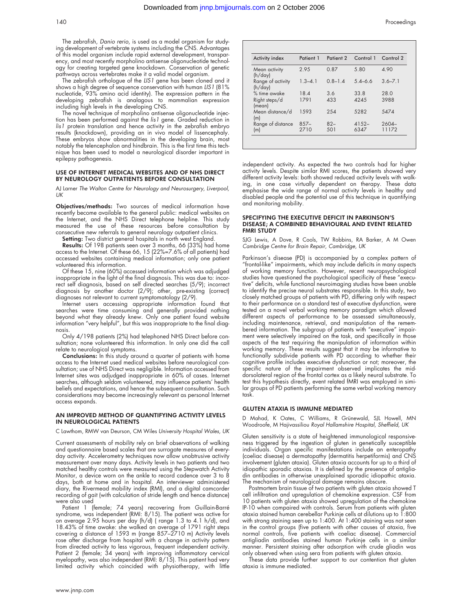The zebrafish, Danio rerio, is used as a model organism for studying development of vertebrate systems including the CNS. Advantages of this model organism include rapid external development, transparency, and most recently morpholino antisense oligonucleotide technology for creating targeted gene knockdown. Conservation of genetic pathways across vertebrates make it a valid model organism.

The zebrafish orthologue of the LIS1 gene has been cloned and it shows a high degree of sequence conservation with human LIS1 (81% nucleotide, 93% amino acid identity). The expression pattern in the developing zebrafish is analagous to mammalian expression including high levels in the developing CNS.

The novel technique of morpholino antisense oligonucleotide injection has been performed against the lis1 gene. Graded reduction in lis1 protein translation and hence activity in the zebrafish embryo results (knockdown), providing an in vivo model of lissencephaly. These embryos show abnormalities in the developing brain, most notably the telencephalon and hindbrain. This is the first time this technique has been used to model a neurological disorder important in epilepsy pathogenesis.

# USE OF INTERNET MEDICAL WEBSITES AND OF NHS DIRECT BY NEUROLOGY OUTPATIENTS BEFORE CONSULTATION

AJ Larner The Walton Centre for Neurology and Neurosurgery, Liverpool, UK

Objectives/methods: Two sources of medical information have recently become available to the general public: medical websites on the Internet, and the NHS Direct telephone helpline. This study measured the use of these resources before consultation by consecutive new referrals to general neurology outpatient clinics.

Setting: Two district general hospitals in north west England.

Results: Of 198 patients seen over 3 months, 66 (33%) had home access to the Internet. Of these 66, 15 (22%=7.6% of all patients) had accessed websites containing medical information; only one patient volunteered this information.

Of these 15, nine (60%) accessed information which was adjudged inappropriate in the light of the final diagnosis. This was due to: incorrect self diagnosis, based on self directed searches (5/9); incorrect diagnosis by another doctor (2/9); other, pre-existing (correct) diagnoses not relevant to current symptomatology (2/9).

Internet users accessing appropriate information found that searches were time consuming and generally provided nothing beyond what they already knew. Only one patient found website information "very helpful", but this was inappropriate to the final diagnosis.

Only 4/198 patients (2%) had telephoned NHS Direct before consultation; none volunteered this information. In only one did the call relate to neurological symptoms.

Conclusions: In this study around a quarter of patients with home access to the Internet used medical websites before neurological consultation; use of NHS Direct was negligible. Information accessed from Internet sites was adjudged inappropriate in 60% of cases. Internet searches, although seldom volunteered, may influence patients' health beliefs and expectations, and hence the subsequent consultation. Such considerations may become increasingly relevant as personal Internet access expands.

# AN IMPROVED METHOD OF QUANTIFYING ACTIVITY LEVELS IN NEUROLOGICAL PATIENTS

C Lawthom, RMW van Deurson, CM Wiles University Hospital Wales, UK

Current assessments of mobility rely on brief observations of walking and questionnaire based scales that are surrogate measures of everyday activity. Accelerometry techniques now allow unobtrusive activity measurement over many days. Activity levels in two patients and two matched healthy controls were measured using the Stepwatch Activity Monitor, a device worn on the ankle to record cadence over 3 to 8 days, both at home and in hospital. An interviewer administered diary, the Rivermead mobility index (RMI), and a digital camcorder recording of gait (with calculation of stride length and hence distance) were also used

Patient 1 (female; 74 years) recovering from Guillain-Barré syndrome, was independent (RMI: 8/15). The patient was active for on average 2.95 hours per day (h/d) ( range 1.3 to 4.1 h/d), and 18.43% of time awake: she walked an average of 1791 right steps covering a distance of 1593 m (range 857–2710 m) Activity levels rose after discharge from hospital with a change in activity pattern from directed activity to less vigorous, frequent independent activity. Patient 2 (female; 34 years) with improving inflammatory cervical myelopathy, was also independent (RMI: 8/15). This patient had very limited activity which coincided with physiotherapy, with little

| Activity index               | Patient 1   | Patient 2   | Control 1 | Control 2   |
|------------------------------|-------------|-------------|-----------|-------------|
| Mean activity<br>(h/day)     | 2.95        | 0.87        | 5.80      | 4.90        |
| Range of activity<br>(h/day) | $1.3 - 4.1$ | $0.8 - 1.4$ | $.54-66$  | $3.6 - 7.1$ |
| % time awake                 | 18.4        | 3.6         | 33.8      | 28.0        |
| Right steps/d<br>(mean)      | 1791        | 433         | 4245      | 3988        |
| Mean distance/d<br>(m)       | 1593        | 254         | 5282      | 5474        |
| Range of distance            | $857 -$     | $82 -$      | $4152-$   | $2604 -$    |
| (m)                          | 2710        | 501         | 6347      | 11172       |

independent activity. As expected the two controls had far higher activity levels. Despite similar RMI scores, the patients showed very different activity levels: both showed reduced activity levels with walking, in one case virtually dependent on therapy. These data emphasise the wide range of normal activity levels in healthy and disabled people and the potential use of this technique in quantifying and monitoring mobility.

# SPECIFYING THE EXECUTIVE DEFICIT IN PARKINSON'S DISEASE; A COMBINED BEHAVIOURAL AND EVENT RELATED FMRI STUDY

SJG Lewis, A Dove, R Cools, TW Robbins, RA Barker, A M Owen Cambridge Centre for Brain Repair, Cambridge, UK

Parkinson's disease (PD) is accompanied by a complex pattern of "frontal-like" impairments, which may include deficits in many aspects of working memory function. However, recent neuropsychological studies have questioned the psychological specificity of these "executive" deficits, while functional neuroimaging studies have been unable to identify the precise neural substrates responsible. In this study, two closely matched groups of patients with PD, differing only with respect to their performance on a standard test of executive dysfunction, were tested on a novel verbal working memory paradigm which allowed different aspects of performance to be assessed simultaneously, including maintenance, retrieval, and manipulation of the remembered information. The subgroup of patients with "executive" impairment were selectively impaired on the task, and specifically in those aspects of the test requiring the manipulation of information within working memory. These results suggest that it may be informative to functionally subdivide patients with PD according to whether their cognitive profile includes executive dysfunction or not; moreover, the specific nature of the impairment observed implicates the middorsolateral region of the frontal cortex as a likely neural substrate. To test this hypothesis directly, event related fMRI was employed in similar groups of PD patients performing the same verbal working memory task.

# GLUTEN ATAXIA IS IMMUNE MEDIATED

D Mahad, K Oates, C Williams, R Grünewald, SJL Howell, MN Woodroofe, M Hajivassiliou Royal Hallamshire Hospital, Sheffield, UK

Gluten sensitivity is a state of heightened immunological responsiveness triggered by the ingestion of gluten in genetically susceptible individuals. Organ specific manifestations include an enteropathy (coeliac disease) a dermatopathy (dermatitis herpetiformis) and CNS involvement (gluten ataxia). Gluten ataxia accounts for up to a third of idiopathic sporadic ataxias. It is defined by the presence of antigliadin antibodies in otherwise unexplained sporadic idiopathic ataxia. The mechanism of neurological damage remains obscure.

Postmortem brain tissue of two patients with gluten ataxia showed T cell infiltration and upregulation of chemokine expression. CSF from 10 patients with gluten ataxia showed upregulation of the chemokine IP-10 when compaired with controls. Serum from patients with gluten ataxia stained human cerebellar Purkinje cells at dilutions up to 1:800 with strong staining seen up to 1:400. At 1:400 staining was not seen in the control groups (five patients with other causes of ataxia, five normal controls, five patients with coeliac disease). Commercial antigliadin antibodies stained human Purkinje cells in a similar manner. Persistent staining after adsorption with crude gliadin was only observed when using sera from patients with gluten ataxia.

These data provide further support to our contention that gluten ataxia is immune mediated.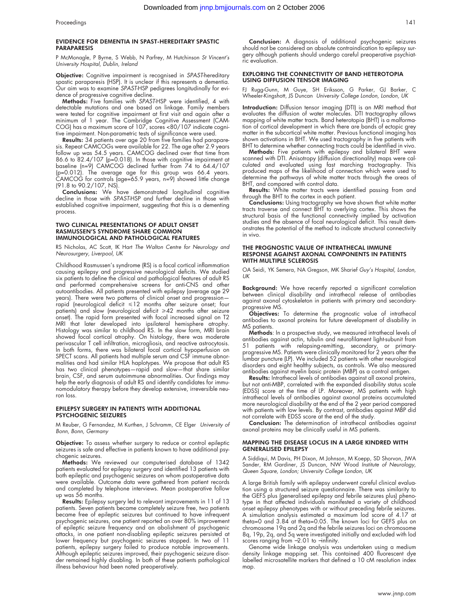# EVIDENCE FOR DEMENTIA IN SPAST-HEREDITARY SPASTIC PARAPARESIS

P McMonagle, P Byrne, S Webb, N Parfrey, M Hutchinson St Vincent's University Hospital, Dublin, Ireland

**Objective:** Cognitive impairment is recognised in SPAST-hereditary spastic paraparesis (HSP). It is unclear if this represents a dementia. Our aim was to examine SPAST-HSP pedigrees longitudinally for evidence of progressive cognitive decline.

Methods: Five families with SPAST-HSP were identified, 4 with detectable mutations and one based on linkage. Family members were tested for cognitive impairment at first visit and again after a minimum of 1 year. The Cambridge Cognitive Assessment (CAM-COG) has a maximum score of 107, scores <80/107 indicate cognitive impairment. Non-parametric tests of significance were used.

Results: 34 patients over age 20 from five families had paraparesis. Repeat CAMCOGs were available for 22. The age after 2.9 years follow up was 54.5 years. CAMCOG declined over that time from 86.6 to 82.4/107 (p=0.018). In those with cognitive impairment at baseline (n=9) CAMCOG declined further from 74 to 64.4/107 (p=0.012). The average age for this group was 66.4 years. CAMCOG for controls (age=65.9 years, n=9) showed little change (91.8 to 90.2/107, NS).<br>**Conclusions:** We have demonstrated longitudinal cognitive

decline in those with SPAST-HSP and further decline in those with established cognitive impairment, suggesting that this is a dementing process.

# TWO CLINICAL PRESENTATIONS OF ADULT ONSET RASMUSSEN'S SYNDROME SHARE COMMON IMMUNOLOGICAL AND PATHOLOGICAL FEATURES

RS Nicholas, AC Scott, IK Hart The Walton Centre for Neurology and Neurosurgery, Liverpool, UK

Childhood Rasmussen's syndrome (RS) is a focal cortical inflammation causing epilepsy and progressive neurological deficits. We studied six patients to define the clinical and pathological features of adult RS and performed comprehensive screens for anti-CNS and other autoantibodies. All patients presented with epilepsy (average age 29 years). There were two patterns of clinical onset and progression rapid (neurological deficit <12 months after seizure onset; four patients) and slow (neurological deficit  $\geq 42$  months after seizure onset). The rapid form presented with focal increased signal on T2 MRI that later developed into ipsilateral hemisphere atrophy. Histology was similar to childhood RS. In the slow form, MRI brain showed focal cortical atrophy. On histology, there was moderate perivascular T cell infiltration, microgliosis, and reactive astrocytosis. In both forms, there was bilateral focal cortical hypoperfusion on SPECT scans. All patients had multiple serum and CSF immune abnormalities and had similar HLA haplotypes. We propose that adult RS has two clinical phenotypes—rapid and slow—that share similar brain, CSF, and serum autoimmune abnormalities. Our findings may help the early diagnosis of adult RS and identify candidates for immunomodulatory therapy before they develop extensive, irreversible neuron loss.

# EPILEPSY SURGERY IN PATIENTS WITH ADDITIONAL PSYCHOGENIC SEIZURES

M Reuber, G Fernandez, M Kurthen, J Schramm, CE Elger University of Bonn, Bonn, Germany

Objective: To assess whether surgery to reduce or control epileptic seizures is safe and effective in patients known to have additional psychogenic seizures.

Methods: We reviewed our computerised database of 1342 patients evaluated for epilepsy surgery and identified 13 patients with both epileptic and psychogenic seizures on whom postoperative data were available. Outcome data were gathered from patient records and completed by telephone interviews. Mean postoperative follow up was 56 months.

Results: Epilepsy surgery led to relevant improvements in 11 of 13 patients. Seven patients became completely seizure free, two patients became free of epileptic seizures but continued to have infrequent psychogenic seizures, one patient reported an over 80% improvement of epileptic seizure frequency and an abolishment of psychogenic attacks, in one patient non-disabling epileptic seizures persisted at lower frequency but psychogenic seizures stopped. In two of 11 patients, epilepsy surgery failed to produce notable improvements. Although epileptic seizures improved, their psychogenic seizure disorder remained highly disabling. In both of these patients pathological illness behaviour had been noted preoperatively.

Conclusion: A diagnosis of additional psychogenic seizures should not be considered an absolute contraindication to epilepsy surgery although patients should undergo careful preoperative psychiatric evaluation.

# EXPLORING THE CONNECTIVITY OF BAND HETEROTOPIA USING DIFFUSION TENSOR IMAGING

FJ Rugg-Gunn, M Guye, SH Eriksson, G Parker, GJ Barker, C Wheeler-Kingshott, JS Duncan University College London, London, UK

Introduction: Diffusion tensor imaging (DTI) is an MRI method that evaluates the diffusion of water molecules. DTI tractography allows mapping of white matter tracts. Band heterotopia (BHT) is a malformation of cortical development in which there are bands of ectopic grey matter in the subcortical white matter. Previous functional imaging has shown activations in BHT. We used tractography in five patients with BHT to determine whether connecting tracts could be identified in vivo.

Methods: Five patients with epilepsy and bilateral BHT were scanned with DTI. Anisotropy (diffusion directionality) maps were calculated and evaluated using fast marching tractography. This produced maps of the likelihood of connection which were used to determine the pathways of white matter tracts through the areas of

BHT, and compared with control data.<br>**Results:** White matter tracts were identified passing from and through the BHT to the cortex in each patient.

Conclusions: Using tractography we have shown that white matter tracts traverse and connect BHT to overlying cortex. This shows the structural basis of the functional connectivity implied by activation studies and the absence of focal neurological deficit. This result demonstrates the potential of the method to indicate structural connectivity in vivo.

# THE PROGNOSTIC VALUE OF INTRATHECAL IMMUNE RESPONSE AGAINST AXONAL COMPONENTS IN PATIENTS WITH MULTIPLE SCLEROSIS

OA Seidi, YK Semera, NA Gregson, MK Sharief Guy's Hospital, London, UK

**Background:** We have recently reported a significant correlation between clinical disability and intrathecal release of antibodies against axonal cytoskeleton in patients with primary and secondaryprogressive MS.

Objectives: To determine the prognostic value of intrathecal antibodies to axonal proteins for future development of disability in MS patients.

Methods: In a prospective study, we measured intrathecal levels of antibodies against actin, tubulin and neurofilament light-subunit from 51 patients with relapsing-remitting, secondary, or primaryprogressive MS. Patients were clinically monitored for 2 years after the lumbar puncture (LP). We included 52 patients with other neurological disorders and eight healthy subjects, as controls. We also measured antibodies against myelin basic protein (MBP) as a control antigen.

Results: Intrathecal levels of antibodies against all axonal proteins, but not anti-MBP, correlated with the expanded disability status scale (EDSS) score at the time of LP. Moreover, MS patients with high intrathecal levels of antibodies against axonal proteins accumulated more neurological disability at the end of the 2 year period compared with patients with low levels. By contrast, antibodies against MBP did not correlate with EDSS score at the end of the study.

Conclusion: The determination of intrathecal antibodies against axonal proteins may be clinically useful in MS patients.

# MAPPING THE DISEASE LOCUS IN A LARGE KINDRED WITH GENERALISED EPILEPSY

A Siddiqui, M Davis, PH Dixon, M Johnson, M Koepp, SD Shorvon, JWA Sander, RM Gardiner, JS Duncan, NW Wood Institute of Neurology, Queen Square, London; University College London, UK

A large British family with epilepsy underwent careful clinical evaluation using a structured seizure questionnaire. There was similarity to the GEFS plus (generalised epilepsy and febrile seizures plus) phenotype in that affected individuals manifested a variety of childhood onset epilepsy phenotypes with or without preceding febrile seizures. A simulation analysis estimated a maximum lod score of 4.17 at theta=0 and 3.84 at theta=0.05. The known loci for GEFS plus on chromosome 19q and 2q and the febrile seizures loci on chromosome 8q, 19p, 2q, and 5q were investigated initially and excluded with lod scores ranging from −2.01 to −infinity.

Genome wide linkage analysis was undertaken using a medium density linkage mapping set. This contained 400 fluorescent dye labelled microsatellite markers that defined a 10 cM resolution index map.